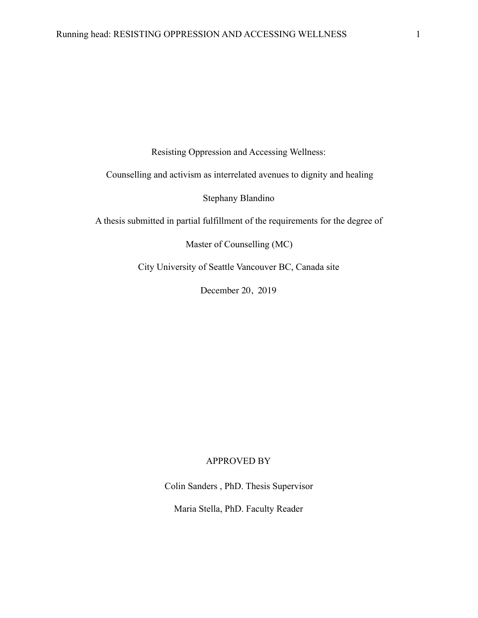Resisting Oppression and Accessing Wellness:

Counselling and activism as interrelated avenues to dignity and healing

Stephany Blandino

A thesis submitted in partial fulfillment of the requirements for the degree of

Master of Counselling (MC)

City University of Seattle Vancouver BC, Canada site

December 20, 2019

# APPROVED BY

Colin Sanders , PhD. Thesis Supervisor

Maria Stella, PhD. Faculty Reader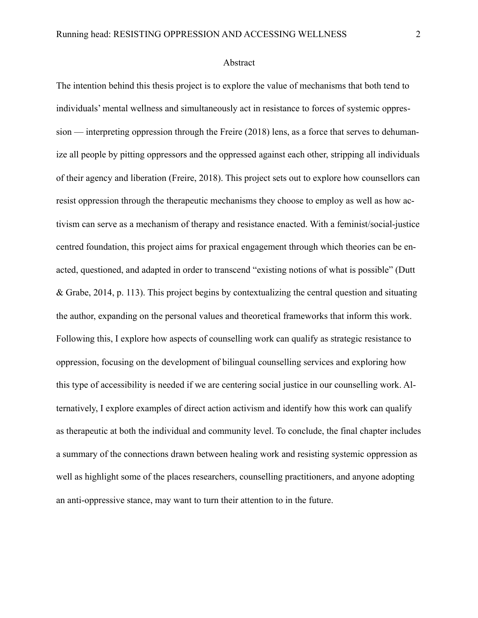#### Abstract

The intention behind this thesis project is to explore the value of mechanisms that both tend to individuals' mental wellness and simultaneously act in resistance to forces of systemic oppression — interpreting oppression through the Freire (2018) lens, as a force that serves to dehumanize all people by pitting oppressors and the oppressed against each other, stripping all individuals of their agency and liberation (Freire, 2018). This project sets out to explore how counsellors can resist oppression through the therapeutic mechanisms they choose to employ as well as how activism can serve as a mechanism of therapy and resistance enacted. With a feminist/social-justice centred foundation, this project aims for praxical engagement through which theories can be enacted, questioned, and adapted in order to transcend "existing notions of what is possible" (Dutt & Grabe, 2014, p. 113). This project begins by contextualizing the central question and situating the author, expanding on the personal values and theoretical frameworks that inform this work. Following this, I explore how aspects of counselling work can qualify as strategic resistance to oppression, focusing on the development of bilingual counselling services and exploring how this type of accessibility is needed if we are centering social justice in our counselling work. Alternatively, I explore examples of direct action activism and identify how this work can qualify as therapeutic at both the individual and community level. To conclude, the final chapter includes a summary of the connections drawn between healing work and resisting systemic oppression as well as highlight some of the places researchers, counselling practitioners, and anyone adopting an anti-oppressive stance, may want to turn their attention to in the future.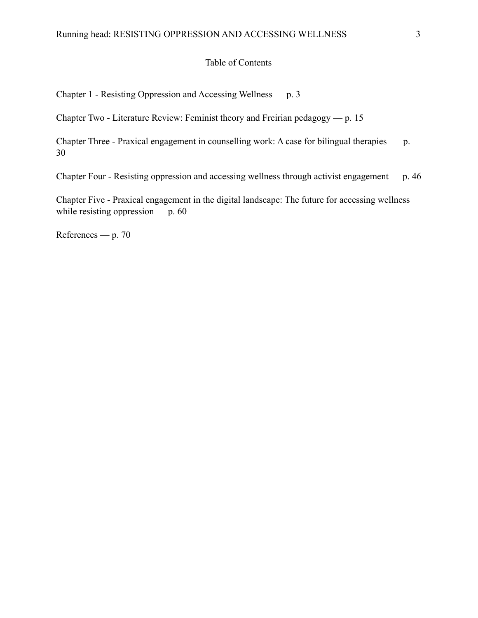## Table of Contents

Chapter 1 - Resisting Oppression and Accessing Wellness — p. 3

Chapter Two - Literature Review: Feminist theory and Freirian pedagogy — p. 15

Chapter Three - Praxical engagement in counselling work: A case for bilingual therapies — p. 30

Chapter Four - Resisting oppression and accessing wellness through activist engagement — p. 46

Chapter Five - Praxical engagement in the digital landscape: The future for accessing wellness while resisting oppression — p. 60

References — p. 70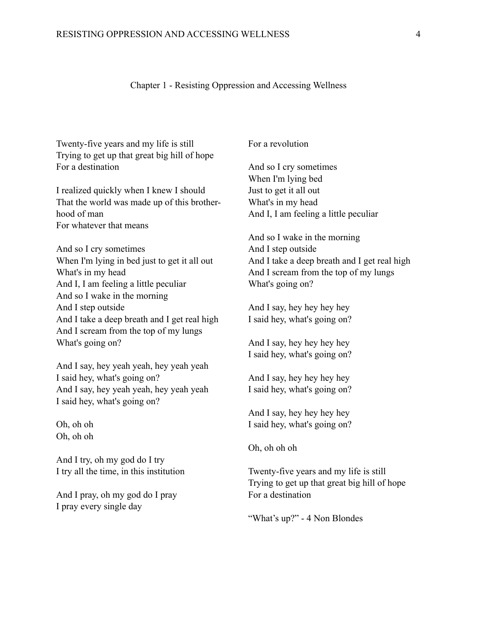Chapter 1 - Resisting Oppression and Accessing Wellness

Twenty-five years and my life is still Trying to get up that great big hill of hope For a destination

I realized quickly when I knew I should That the world was made up of this brotherhood of man For whatever that means

And so I cry sometimes When I'm lying in bed just to get it all out What's in my head And I, I am feeling a little peculiar And so I wake in the morning And I step outside And I take a deep breath and I get real high And I scream from the top of my lungs What's going on?

And I say, hey yeah yeah, hey yeah yeah I said hey, what's going on? And I say, hey yeah yeah, hey yeah yeah I said hey, what's going on?

Oh, oh oh Oh, oh oh

And I try, oh my god do I try I try all the time, in this institution

And I pray, oh my god do I pray I pray every single day

For a revolution

And so I cry sometimes When I'm lying bed Just to get it all out What's in my head And I, I am feeling a little peculiar

And so I wake in the morning And I step outside And I take a deep breath and I get real high And I scream from the top of my lungs What's going on?

And I say, hey hey hey hey I said hey, what's going on?

And I say, hey hey hey hey I said hey, what's going on?

And I say, hey hey hey hey I said hey, what's going on?

And I say, hey hey hey hey I said hey, what's going on?

Oh, oh oh oh

Twenty-five years and my life is still Trying to get up that great big hill of hope For a destination

"What's up?" - 4 Non Blondes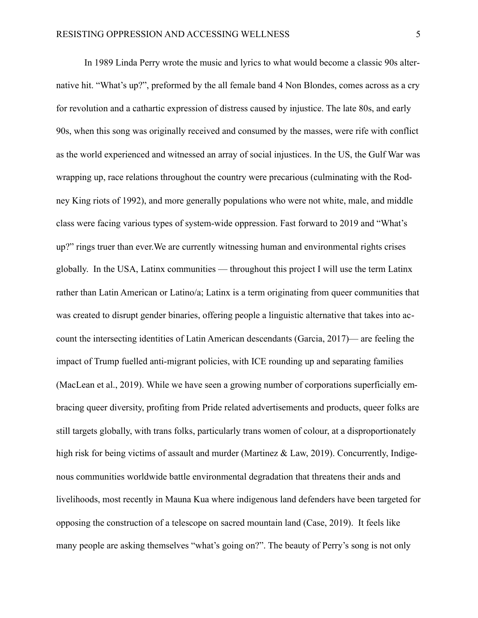In 1989 Linda Perry wrote the music and lyrics to what would become a classic 90s alternative hit. "What's up?", preformed by the all female band 4 Non Blondes, comes across as a cry for revolution and a cathartic expression of distress caused by injustice. The late 80s, and early 90s, when this song was originally received and consumed by the masses, were rife with conflict as the world experienced and witnessed an array of social injustices. In the US, the Gulf War was wrapping up, race relations throughout the country were precarious (culminating with the Rodney King riots of 1992), and more generally populations who were not white, male, and middle class were facing various types of system-wide oppression. Fast forward to 2019 and "What's up?" rings truer than ever.We are currently witnessing human and environmental rights crises globally. In the USA, Latinx communities — throughout this project I will use the term Latinx rather than Latin American or Latino/a; Latinx is a term originating from queer communities that was created to disrupt gender binaries, offering people a linguistic alternative that takes into account the intersecting identities of Latin American descendants (Garcia, 2017)— are feeling the impact of Trump fuelled anti-migrant policies, with ICE rounding up and separating families (MacLean et al., 2019). While we have seen a growing number of corporations superficially embracing queer diversity, profiting from Pride related advertisements and products, queer folks are still targets globally, with trans folks, particularly trans women of colour, at a disproportionately high risk for being victims of assault and murder (Martinez & Law, 2019). Concurrently, Indigenous communities worldwide battle environmental degradation that threatens their ands and livelihoods, most recently in Mauna Kua where indigenous land defenders have been targeted for opposing the construction of a telescope on sacred mountain land (Case, 2019). It feels like many people are asking themselves "what's going on?". The beauty of Perry's song is not only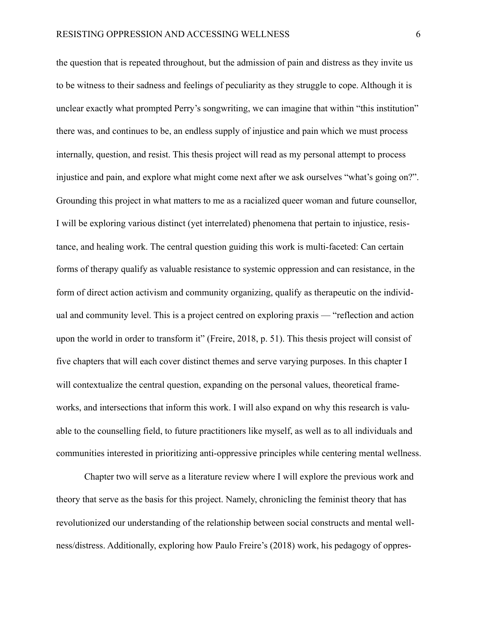the question that is repeated throughout, but the admission of pain and distress as they invite us to be witness to their sadness and feelings of peculiarity as they struggle to cope. Although it is unclear exactly what prompted Perry's songwriting, we can imagine that within "this institution" there was, and continues to be, an endless supply of injustice and pain which we must process internally, question, and resist. This thesis project will read as my personal attempt to process injustice and pain, and explore what might come next after we ask ourselves "what's going on?". Grounding this project in what matters to me as a racialized queer woman and future counsellor, I will be exploring various distinct (yet interrelated) phenomena that pertain to injustice, resistance, and healing work. The central question guiding this work is multi-faceted: Can certain forms of therapy qualify as valuable resistance to systemic oppression and can resistance, in the form of direct action activism and community organizing, qualify as therapeutic on the individual and community level. This is a project centred on exploring praxis — "reflection and action upon the world in order to transform it" (Freire, 2018, p. 51). This thesis project will consist of five chapters that will each cover distinct themes and serve varying purposes. In this chapter I will contextualize the central question, expanding on the personal values, theoretical frameworks, and intersections that inform this work. I will also expand on why this research is valuable to the counselling field, to future practitioners like myself, as well as to all individuals and communities interested in prioritizing anti-oppressive principles while centering mental wellness.

 Chapter two will serve as a literature review where I will explore the previous work and theory that serve as the basis for this project. Namely, chronicling the feminist theory that has revolutionized our understanding of the relationship between social constructs and mental wellness/distress. Additionally, exploring how Paulo Freire's (2018) work, his pedagogy of oppres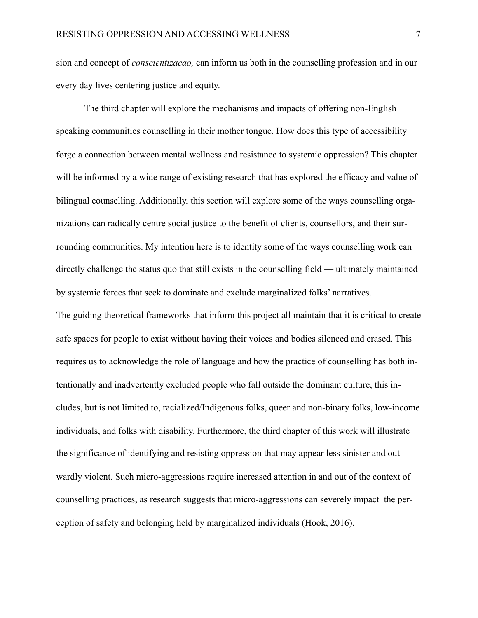sion and concept of *conscientizacao,* can inform us both in the counselling profession and in our every day lives centering justice and equity.

 The third chapter will explore the mechanisms and impacts of offering non-English speaking communities counselling in their mother tongue. How does this type of accessibility forge a connection between mental wellness and resistance to systemic oppression? This chapter will be informed by a wide range of existing research that has explored the efficacy and value of bilingual counselling. Additionally, this section will explore some of the ways counselling organizations can radically centre social justice to the benefit of clients, counsellors, and their surrounding communities. My intention here is to identity some of the ways counselling work can directly challenge the status quo that still exists in the counselling field — ultimately maintained by systemic forces that seek to dominate and exclude marginalized folks' narratives.

The guiding theoretical frameworks that inform this project all maintain that it is critical to create safe spaces for people to exist without having their voices and bodies silenced and erased. This requires us to acknowledge the role of language and how the practice of counselling has both intentionally and inadvertently excluded people who fall outside the dominant culture, this includes, but is not limited to, racialized/Indigenous folks, queer and non-binary folks, low-income individuals, and folks with disability. Furthermore, the third chapter of this work will illustrate the significance of identifying and resisting oppression that may appear less sinister and outwardly violent. Such micro-aggressions require increased attention in and out of the context of counselling practices, as research suggests that micro-aggressions can severely impact the perception of safety and belonging held by marginalized individuals (Hook, 2016).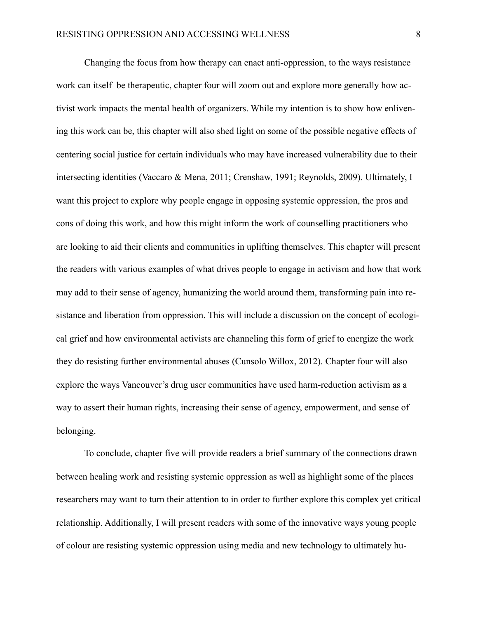Changing the focus from how therapy can enact anti-oppression, to the ways resistance work can itself be therapeutic, chapter four will zoom out and explore more generally how activist work impacts the mental health of organizers. While my intention is to show how enlivening this work can be, this chapter will also shed light on some of the possible negative effects of centering social justice for certain individuals who may have increased vulnerability due to their intersecting identities (Vaccaro & Mena, 2011; Crenshaw, 1991; Reynolds, 2009). Ultimately, I want this project to explore why people engage in opposing systemic oppression, the pros and cons of doing this work, and how this might inform the work of counselling practitioners who are looking to aid their clients and communities in uplifting themselves. This chapter will present the readers with various examples of what drives people to engage in activism and how that work may add to their sense of agency, humanizing the world around them, transforming pain into resistance and liberation from oppression. This will include a discussion on the concept of ecological grief and how environmental activists are channeling this form of grief to energize the work they do resisting further environmental abuses (Cunsolo Willox, 2012). Chapter four will also explore the ways Vancouver's drug user communities have used harm-reduction activism as a way to assert their human rights, increasing their sense of agency, empowerment, and sense of belonging.

 To conclude, chapter five will provide readers a brief summary of the connections drawn between healing work and resisting systemic oppression as well as highlight some of the places researchers may want to turn their attention to in order to further explore this complex yet critical relationship. Additionally, I will present readers with some of the innovative ways young people of colour are resisting systemic oppression using media and new technology to ultimately hu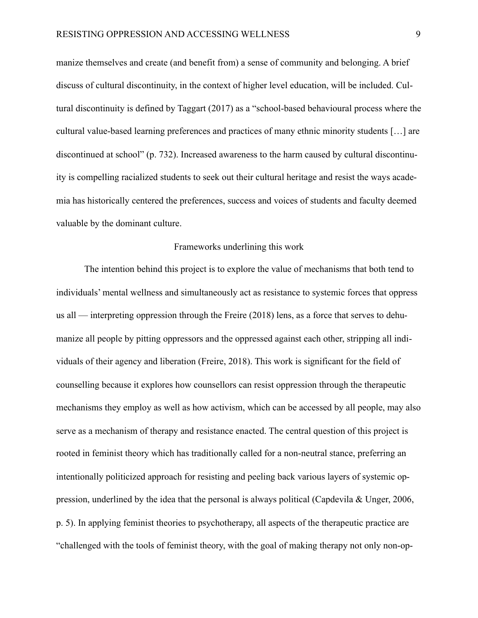manize themselves and create (and benefit from) a sense of community and belonging. A brief discuss of cultural discontinuity, in the context of higher level education, will be included. Cultural discontinuity is defined by Taggart (2017) as a "school-based behavioural process where the cultural value-based learning preferences and practices of many ethnic minority students […] are discontinued at school" (p. 732). Increased awareness to the harm caused by cultural discontinuity is compelling racialized students to seek out their cultural heritage and resist the ways academia has historically centered the preferences, success and voices of students and faculty deemed valuable by the dominant culture.

## Frameworks underlining this work

 The intention behind this project is to explore the value of mechanisms that both tend to individuals' mental wellness and simultaneously act as resistance to systemic forces that oppress us all — interpreting oppression through the Freire (2018) lens, as a force that serves to dehumanize all people by pitting oppressors and the oppressed against each other, stripping all individuals of their agency and liberation (Freire, 2018). This work is significant for the field of counselling because it explores how counsellors can resist oppression through the therapeutic mechanisms they employ as well as how activism, which can be accessed by all people, may also serve as a mechanism of therapy and resistance enacted. The central question of this project is rooted in feminist theory which has traditionally called for a non-neutral stance, preferring an intentionally politicized approach for resisting and peeling back various layers of systemic oppression, underlined by the idea that the personal is always political (Capdevila & Unger, 2006, p. 5). In applying feminist theories to psychotherapy, all aspects of the therapeutic practice are "challenged with the tools of feminist theory, with the goal of making therapy not only non-op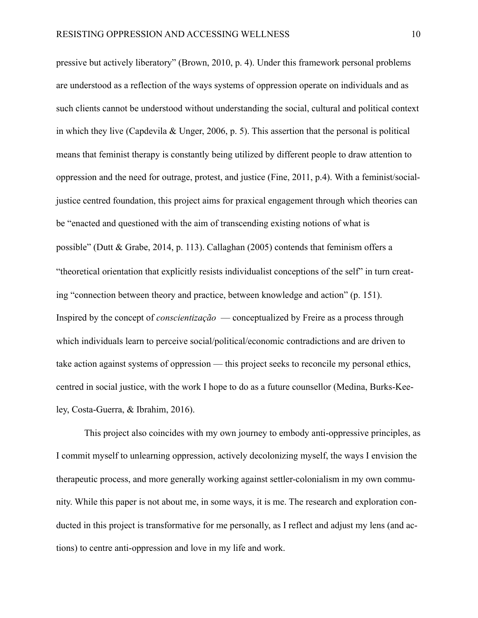pressive but actively liberatory" (Brown, 2010, p. 4). Under this framework personal problems are understood as a reflection of the ways systems of oppression operate on individuals and as such clients cannot be understood without understanding the social, cultural and political context in which they live (Capdevila & Unger, 2006, p. 5). This assertion that the personal is political means that feminist therapy is constantly being utilized by different people to draw attention to oppression and the need for outrage, protest, and justice (Fine, 2011, p.4). With a feminist/socialjustice centred foundation, this project aims for praxical engagement through which theories can be "enacted and questioned with the aim of transcending existing notions of what is possible" (Dutt & Grabe, 2014, p. 113). Callaghan (2005) contends that feminism offers a "theoretical orientation that explicitly resists individualist conceptions of the self" in turn creating "connection between theory and practice, between knowledge and action" (p. 151). Inspired by the concept of *conscientização* — conceptualized by Freire as a process through which individuals learn to perceive social/political/economic contradictions and are driven to take action against systems of oppression — this project seeks to reconcile my personal ethics, centred in social justice, with the work I hope to do as a future counsellor (Medina, Burks-Keeley, Costa-Guerra, & Ibrahim, 2016).

 This project also coincides with my own journey to embody anti-oppressive principles, as I commit myself to unlearning oppression, actively decolonizing myself, the ways I envision the therapeutic process, and more generally working against settler-colonialism in my own community. While this paper is not about me, in some ways, it is me. The research and exploration conducted in this project is transformative for me personally, as I reflect and adjust my lens (and actions) to centre anti-oppression and love in my life and work.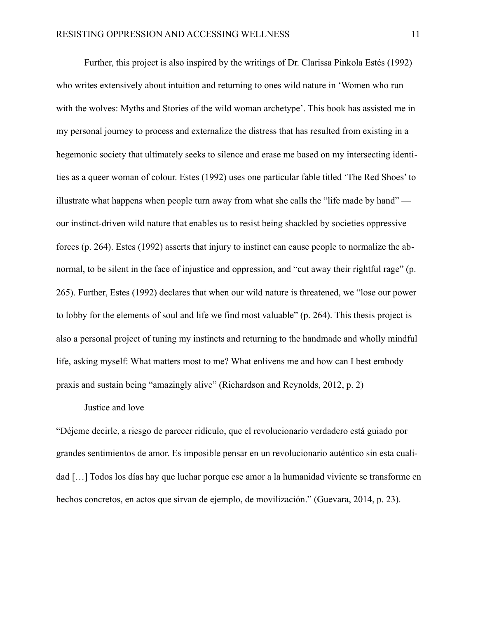Further, this project is also inspired by the writings of Dr. Clarissa Pinkola Estés (1992) who writes extensively about intuition and returning to ones wild nature in 'Women who run with the wolves: Myths and Stories of the wild woman archetype'. This book has assisted me in my personal journey to process and externalize the distress that has resulted from existing in a hegemonic society that ultimately seeks to silence and erase me based on my intersecting identities as a queer woman of colour. Estes (1992) uses one particular fable titled 'The Red Shoes' to illustrate what happens when people turn away from what she calls the "life made by hand" our instinct-driven wild nature that enables us to resist being shackled by societies oppressive forces (p. 264). Estes (1992) asserts that injury to instinct can cause people to normalize the abnormal, to be silent in the face of injustice and oppression, and "cut away their rightful rage" (p. 265). Further, Estes (1992) declares that when our wild nature is threatened, we "lose our power to lobby for the elements of soul and life we find most valuable" (p. 264). This thesis project is also a personal project of tuning my instincts and returning to the handmade and wholly mindful life, asking myself: What matters most to me? What enlivens me and how can I best embody praxis and sustain being "amazingly alive" (Richardson and Reynolds, 2012, p. 2)

### Justice and love

"Déjeme decirle, a riesgo de parecer ridículo, que el revolucionario verdadero está guiado por grandes sentimientos de amor. Es imposible pensar en un revolucionario auténtico sin esta cualidad […] Todos los días hay que luchar porque ese amor a la humanidad viviente se transforme en hechos concretos, en actos que sirvan de ejemplo, de movilización." (Guevara, 2014, p. 23).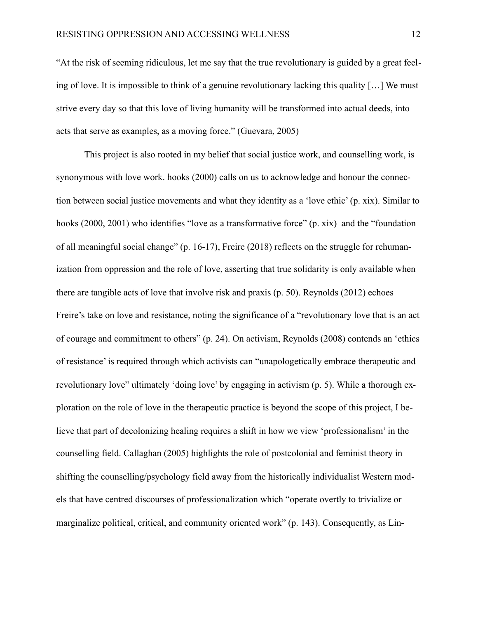"At the risk of seeming ridiculous, let me say that the true revolutionary is guided by a great feeling of love. It is impossible to think of a genuine revolutionary lacking this quality […] We must strive every day so that this love of living humanity will be transformed into actual deeds, into acts that serve as examples, as a moving force." (Guevara, 2005)

This project is also rooted in my belief that social justice work, and counselling work, is synonymous with love work. hooks (2000) calls on us to acknowledge and honour the connection between social justice movements and what they identity as a 'love ethic' (p. xix). Similar to hooks (2000, 2001) who identifies "love as a transformative force" (p. xix) and the "foundation of all meaningful social change" (p. 16-17), Freire (2018) reflects on the struggle for rehumanization from oppression and the role of love, asserting that true solidarity is only available when there are tangible acts of love that involve risk and praxis (p. 50). Reynolds (2012) echoes Freire's take on love and resistance, noting the significance of a "revolutionary love that is an act of courage and commitment to others" (p. 24). On activism, Reynolds (2008) contends an 'ethics of resistance' is required through which activists can "unapologetically embrace therapeutic and revolutionary love" ultimately 'doing love' by engaging in activism (p. 5). While a thorough exploration on the role of love in the therapeutic practice is beyond the scope of this project, I believe that part of decolonizing healing requires a shift in how we view 'professionalism' in the counselling field. Callaghan (2005) highlights the role of postcolonial and feminist theory in shifting the counselling/psychology field away from the historically individualist Western models that have centred discourses of professionalization which "operate overtly to trivialize or marginalize political, critical, and community oriented work" (p. 143). Consequently, as Lin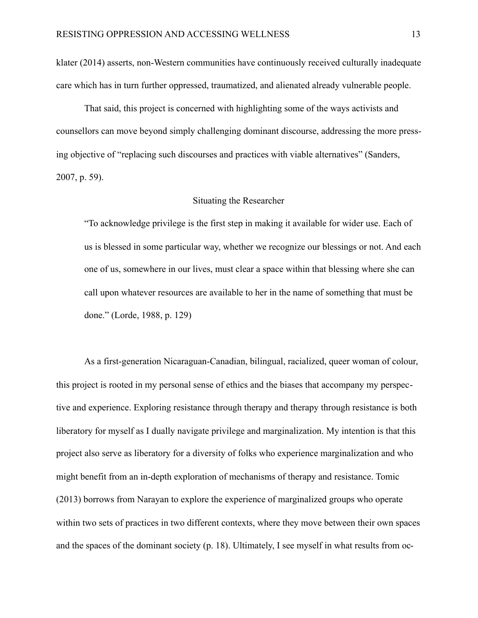klater (2014) asserts, non-Western communities have continuously received culturally inadequate care which has in turn further oppressed, traumatized, and alienated already vulnerable people.

 That said, this project is concerned with highlighting some of the ways activists and counsellors can move beyond simply challenging dominant discourse, addressing the more pressing objective of "replacing such discourses and practices with viable alternatives" (Sanders, 2007, p. 59).

### Situating the Researcher

"To acknowledge privilege is the first step in making it available for wider use. Each of us is blessed in some particular way, whether we recognize our blessings or not. And each one of us, somewhere in our lives, must clear a space within that blessing where she can call upon whatever resources are available to her in the name of something that must be done." (Lorde, 1988, p. 129)

As a first-generation Nicaraguan-Canadian, bilingual, racialized, queer woman of colour, this project is rooted in my personal sense of ethics and the biases that accompany my perspective and experience. Exploring resistance through therapy and therapy through resistance is both liberatory for myself as I dually navigate privilege and marginalization. My intention is that this project also serve as liberatory for a diversity of folks who experience marginalization and who might benefit from an in-depth exploration of mechanisms of therapy and resistance. Tomic (2013) borrows from Narayan to explore the experience of marginalized groups who operate within two sets of practices in two different contexts, where they move between their own spaces and the spaces of the dominant society (p. 18). Ultimately, I see myself in what results from oc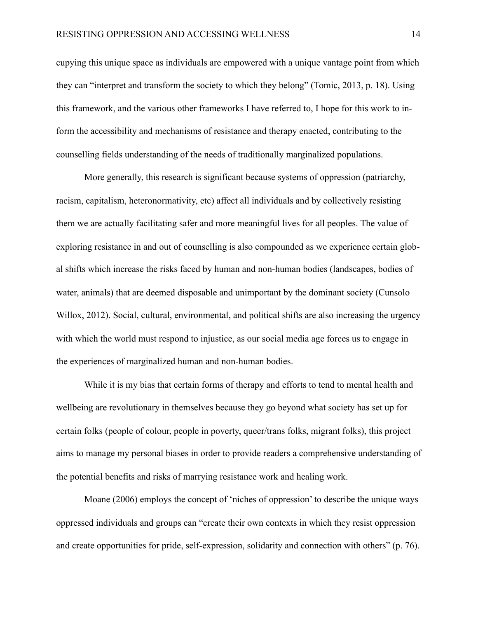cupying this unique space as individuals are empowered with a unique vantage point from which they can "interpret and transform the society to which they belong" (Tomic, 2013, p. 18). Using this framework, and the various other frameworks I have referred to, I hope for this work to inform the accessibility and mechanisms of resistance and therapy enacted, contributing to the counselling fields understanding of the needs of traditionally marginalized populations.

 More generally, this research is significant because systems of oppression (patriarchy, racism, capitalism, heteronormativity, etc) affect all individuals and by collectively resisting them we are actually facilitating safer and more meaningful lives for all peoples. The value of exploring resistance in and out of counselling is also compounded as we experience certain global shifts which increase the risks faced by human and non-human bodies (landscapes, bodies of water, animals) that are deemed disposable and unimportant by the dominant society (Cunsolo Willox, 2012). Social, cultural, environmental, and political shifts are also increasing the urgency with which the world must respond to injustice, as our social media age forces us to engage in the experiences of marginalized human and non-human bodies.

 While it is my bias that certain forms of therapy and efforts to tend to mental health and wellbeing are revolutionary in themselves because they go beyond what society has set up for certain folks (people of colour, people in poverty, queer/trans folks, migrant folks), this project aims to manage my personal biases in order to provide readers a comprehensive understanding of the potential benefits and risks of marrying resistance work and healing work.

 Moane (2006) employs the concept of 'niches of oppression' to describe the unique ways oppressed individuals and groups can "create their own contexts in which they resist oppression and create opportunities for pride, self-expression, solidarity and connection with others" (p. 76).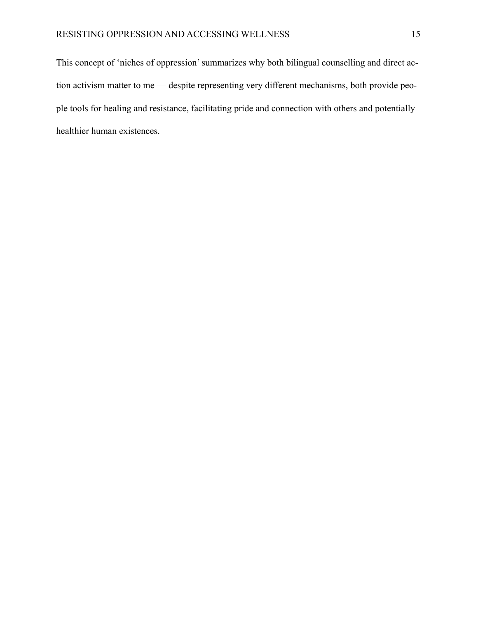This concept of 'niches of oppression' summarizes why both bilingual counselling and direct action activism matter to me — despite representing very different mechanisms, both provide people tools for healing and resistance, facilitating pride and connection with others and potentially healthier human existences.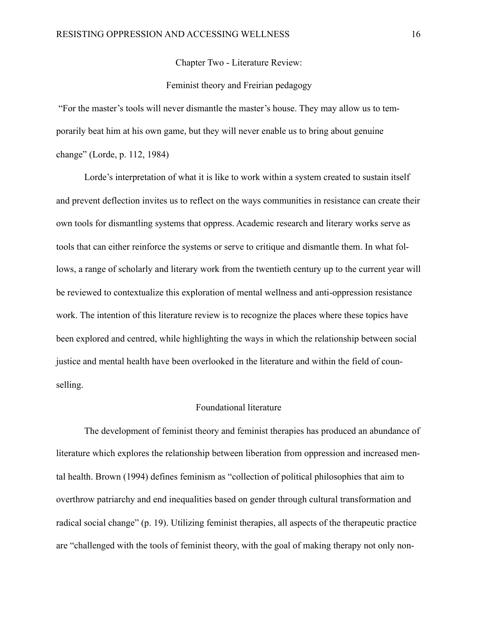Chapter Two - Literature Review:

## Feminist theory and Freirian pedagogy

 "For the master's tools will never dismantle the master's house. They may allow us to temporarily beat him at his own game, but they will never enable us to bring about genuine change" (Lorde, p. 112, 1984)

 Lorde's interpretation of what it is like to work within a system created to sustain itself and prevent deflection invites us to reflect on the ways communities in resistance can create their own tools for dismantling systems that oppress. Academic research and literary works serve as tools that can either reinforce the systems or serve to critique and dismantle them. In what follows, a range of scholarly and literary work from the twentieth century up to the current year will be reviewed to contextualize this exploration of mental wellness and anti-oppression resistance work. The intention of this literature review is to recognize the places where these topics have been explored and centred, while highlighting the ways in which the relationship between social justice and mental health have been overlooked in the literature and within the field of counselling.

## Foundational literature

 The development of feminist theory and feminist therapies has produced an abundance of literature which explores the relationship between liberation from oppression and increased mental health. Brown (1994) defines feminism as "collection of political philosophies that aim to overthrow patriarchy and end inequalities based on gender through cultural transformation and radical social change" (p. 19). Utilizing feminist therapies, all aspects of the therapeutic practice are "challenged with the tools of feminist theory, with the goal of making therapy not only non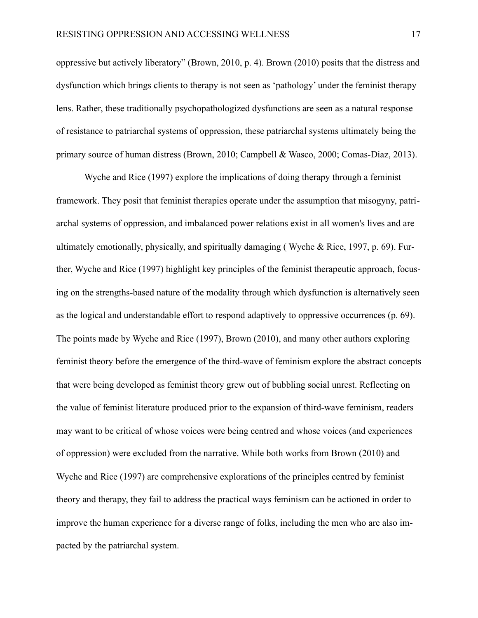oppressive but actively liberatory" (Brown, 2010, p. 4). Brown (2010) posits that the distress and dysfunction which brings clients to therapy is not seen as 'pathology' under the feminist therapy lens. Rather, these traditionally psychopathologized dysfunctions are seen as a natural response of resistance to patriarchal systems of oppression, these patriarchal systems ultimately being the primary source of human distress (Brown, 2010; Campbell & Wasco, 2000; Comas-Diaz, 2013).

 Wyche and Rice (1997) explore the implications of doing therapy through a feminist framework. They posit that feminist therapies operate under the assumption that misogyny, patriarchal systems of oppression, and imbalanced power relations exist in all women's lives and are ultimately emotionally, physically, and spiritually damaging ( Wyche & Rice, 1997, p. 69). Further, Wyche and Rice (1997) highlight key principles of the feminist therapeutic approach, focusing on the strengths-based nature of the modality through which dysfunction is alternatively seen as the logical and understandable effort to respond adaptively to oppressive occurrences (p. 69). The points made by Wyche and Rice (1997), Brown (2010), and many other authors exploring feminist theory before the emergence of the third-wave of feminism explore the abstract concepts that were being developed as feminist theory grew out of bubbling social unrest. Reflecting on the value of feminist literature produced prior to the expansion of third-wave feminism, readers may want to be critical of whose voices were being centred and whose voices (and experiences of oppression) were excluded from the narrative. While both works from Brown (2010) and Wyche and Rice (1997) are comprehensive explorations of the principles centred by feminist theory and therapy, they fail to address the practical ways feminism can be actioned in order to improve the human experience for a diverse range of folks, including the men who are also impacted by the patriarchal system.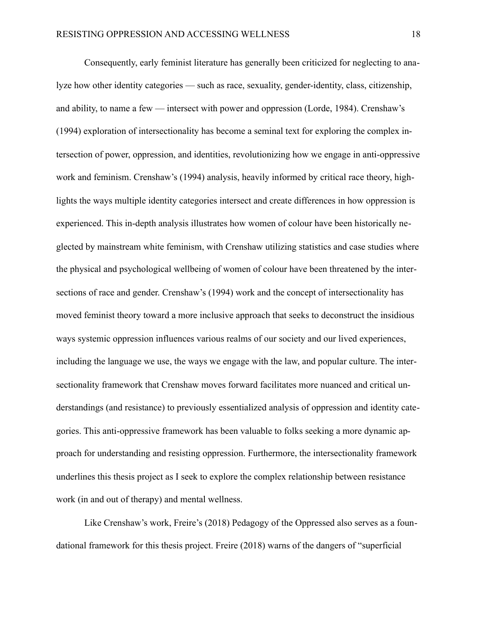Consequently, early feminist literature has generally been criticized for neglecting to analyze how other identity categories — such as race, sexuality, gender-identity, class, citizenship, and ability, to name a few — intersect with power and oppression (Lorde, 1984). Crenshaw's (1994) exploration of intersectionality has become a seminal text for exploring the complex intersection of power, oppression, and identities, revolutionizing how we engage in anti-oppressive work and feminism. Crenshaw's (1994) analysis, heavily informed by critical race theory, highlights the ways multiple identity categories intersect and create differences in how oppression is experienced. This in-depth analysis illustrates how women of colour have been historically neglected by mainstream white feminism, with Crenshaw utilizing statistics and case studies where the physical and psychological wellbeing of women of colour have been threatened by the intersections of race and gender. Crenshaw's (1994) work and the concept of intersectionality has moved feminist theory toward a more inclusive approach that seeks to deconstruct the insidious ways systemic oppression influences various realms of our society and our lived experiences, including the language we use, the ways we engage with the law, and popular culture. The intersectionality framework that Crenshaw moves forward facilitates more nuanced and critical understandings (and resistance) to previously essentialized analysis of oppression and identity categories. This anti-oppressive framework has been valuable to folks seeking a more dynamic approach for understanding and resisting oppression. Furthermore, the intersectionality framework underlines this thesis project as I seek to explore the complex relationship between resistance work (in and out of therapy) and mental wellness.

 Like Crenshaw's work, Freire's (2018) Pedagogy of the Oppressed also serves as a foundational framework for this thesis project. Freire (2018) warns of the dangers of "superficial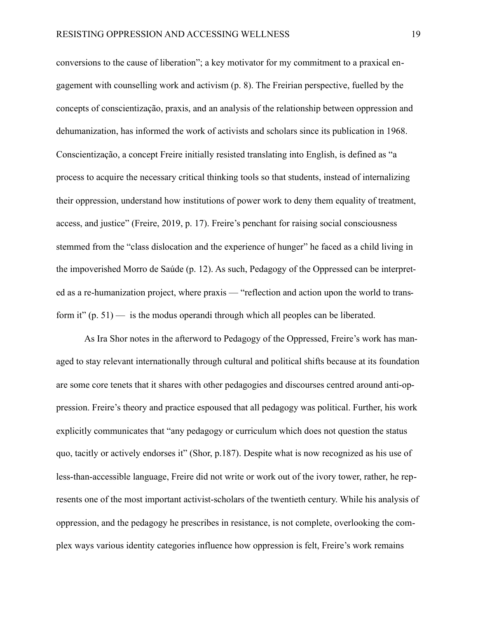conversions to the cause of liberation"; a key motivator for my commitment to a praxical engagement with counselling work and activism (p. 8). The Freirian perspective, fuelled by the concepts of conscientização, praxis, and an analysis of the relationship between oppression and dehumanization, has informed the work of activists and scholars since its publication in 1968. Conscientização, a concept Freire initially resisted translating into English, is defined as "a process to acquire the necessary critical thinking tools so that students, instead of internalizing their oppression, understand how institutions of power work to deny them equality of treatment, access, and justice" (Freire, 2019, p. 17). Freire's penchant for raising social consciousness stemmed from the "class dislocation and the experience of hunger" he faced as a child living in the impoverished Morro de Saúde (p. 12). As such, Pedagogy of the Oppressed can be interpreted as a re-humanization project, where praxis — "reflection and action upon the world to transform it"  $(p. 51)$  — is the modus operandi through which all peoples can be liberated.

 As Ira Shor notes in the afterword to Pedagogy of the Oppressed, Freire's work has managed to stay relevant internationally through cultural and political shifts because at its foundation are some core tenets that it shares with other pedagogies and discourses centred around anti-oppression. Freire's theory and practice espoused that all pedagogy was political. Further, his work explicitly communicates that "any pedagogy or curriculum which does not question the status quo, tacitly or actively endorses it" (Shor, p.187). Despite what is now recognized as his use of less-than-accessible language, Freire did not write or work out of the ivory tower, rather, he represents one of the most important activist-scholars of the twentieth century. While his analysis of oppression, and the pedagogy he prescribes in resistance, is not complete, overlooking the complex ways various identity categories influence how oppression is felt, Freire's work remains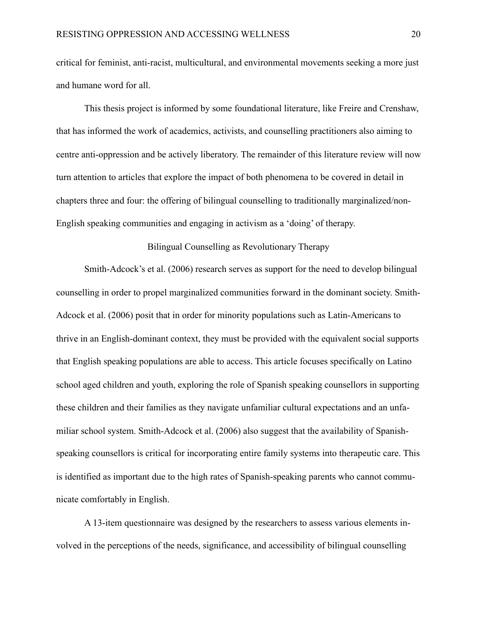critical for feminist, anti-racist, multicultural, and environmental movements seeking a more just and humane word for all.

 This thesis project is informed by some foundational literature, like Freire and Crenshaw, that has informed the work of academics, activists, and counselling practitioners also aiming to centre anti-oppression and be actively liberatory. The remainder of this literature review will now turn attention to articles that explore the impact of both phenomena to be covered in detail in chapters three and four: the offering of bilingual counselling to traditionally marginalized/non-English speaking communities and engaging in activism as a 'doing' of therapy.

# Bilingual Counselling as Revolutionary Therapy

 Smith-Adcock's et al. (2006) research serves as support for the need to develop bilingual counselling in order to propel marginalized communities forward in the dominant society. Smith-Adcock et al. (2006) posit that in order for minority populations such as Latin-Americans to thrive in an English-dominant context, they must be provided with the equivalent social supports that English speaking populations are able to access. This article focuses specifically on Latino school aged children and youth, exploring the role of Spanish speaking counsellors in supporting these children and their families as they navigate unfamiliar cultural expectations and an unfamiliar school system. Smith-Adcock et al. (2006) also suggest that the availability of Spanishspeaking counsellors is critical for incorporating entire family systems into therapeutic care. This is identified as important due to the high rates of Spanish-speaking parents who cannot communicate comfortably in English.

 A 13-item questionnaire was designed by the researchers to assess various elements involved in the perceptions of the needs, significance, and accessibility of bilingual counselling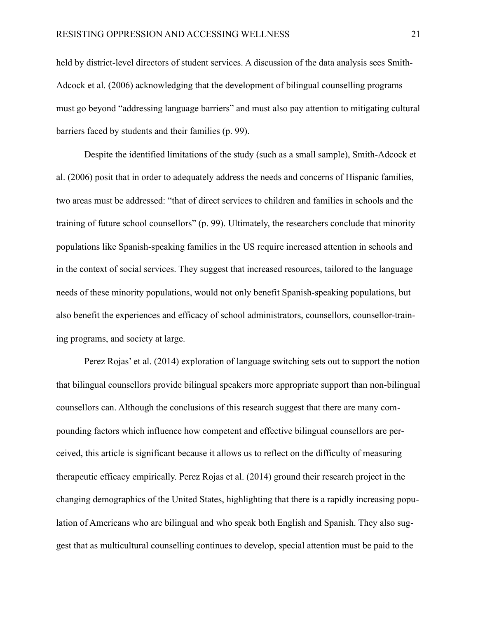held by district-level directors of student services. A discussion of the data analysis sees Smith-Adcock et al. (2006) acknowledging that the development of bilingual counselling programs must go beyond "addressing language barriers" and must also pay attention to mitigating cultural barriers faced by students and their families (p. 99).

 Despite the identified limitations of the study (such as a small sample), Smith-Adcock et al. (2006) posit that in order to adequately address the needs and concerns of Hispanic families, two areas must be addressed: "that of direct services to children and families in schools and the training of future school counsellors" (p. 99). Ultimately, the researchers conclude that minority populations like Spanish-speaking families in the US require increased attention in schools and in the context of social services. They suggest that increased resources, tailored to the language needs of these minority populations, would not only benefit Spanish-speaking populations, but also benefit the experiences and efficacy of school administrators, counsellors, counsellor-training programs, and society at large.

 Perez Rojas' et al. (2014) exploration of language switching sets out to support the notion that bilingual counsellors provide bilingual speakers more appropriate support than non-bilingual counsellors can. Although the conclusions of this research suggest that there are many compounding factors which influence how competent and effective bilingual counsellors are perceived, this article is significant because it allows us to reflect on the difficulty of measuring therapeutic efficacy empirically. Perez Rojas et al. (2014) ground their research project in the changing demographics of the United States, highlighting that there is a rapidly increasing population of Americans who are bilingual and who speak both English and Spanish. They also suggest that as multicultural counselling continues to develop, special attention must be paid to the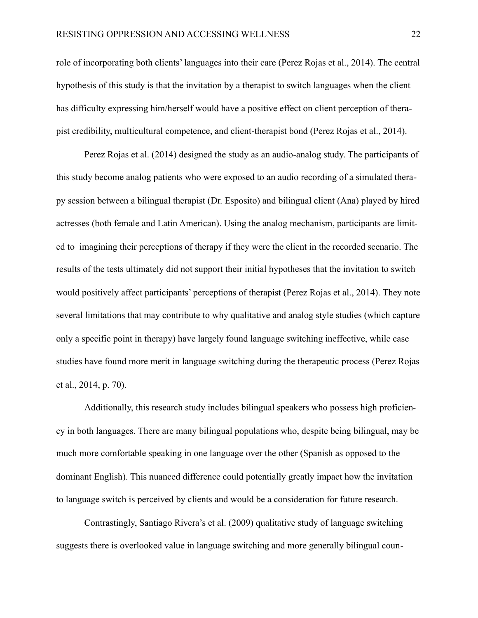role of incorporating both clients' languages into their care (Perez Rojas et al., 2014). The central hypothesis of this study is that the invitation by a therapist to switch languages when the client has difficulty expressing him/herself would have a positive effect on client perception of therapist credibility, multicultural competence, and client-therapist bond (Perez Rojas et al., 2014).

 Perez Rojas et al. (2014) designed the study as an audio-analog study. The participants of this study become analog patients who were exposed to an audio recording of a simulated therapy session between a bilingual therapist (Dr. Esposito) and bilingual client (Ana) played by hired actresses (both female and Latin American). Using the analog mechanism, participants are limited to imagining their perceptions of therapy if they were the client in the recorded scenario. The results of the tests ultimately did not support their initial hypotheses that the invitation to switch would positively affect participants' perceptions of therapist (Perez Rojas et al., 2014). They note several limitations that may contribute to why qualitative and analog style studies (which capture only a specific point in therapy) have largely found language switching ineffective, while case studies have found more merit in language switching during the therapeutic process (Perez Rojas et al., 2014, p. 70).

 Additionally, this research study includes bilingual speakers who possess high proficiency in both languages. There are many bilingual populations who, despite being bilingual, may be much more comfortable speaking in one language over the other (Spanish as opposed to the dominant English). This nuanced difference could potentially greatly impact how the invitation to language switch is perceived by clients and would be a consideration for future research.

 Contrastingly, Santiago Rivera's et al. (2009) qualitative study of language switching suggests there is overlooked value in language switching and more generally bilingual coun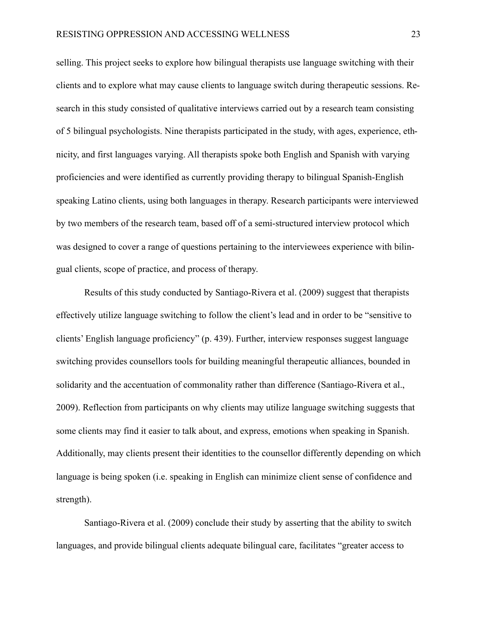selling. This project seeks to explore how bilingual therapists use language switching with their clients and to explore what may cause clients to language switch during therapeutic sessions. Research in this study consisted of qualitative interviews carried out by a research team consisting of 5 bilingual psychologists. Nine therapists participated in the study, with ages, experience, ethnicity, and first languages varying. All therapists spoke both English and Spanish with varying proficiencies and were identified as currently providing therapy to bilingual Spanish-English speaking Latino clients, using both languages in therapy. Research participants were interviewed by two members of the research team, based off of a semi-structured interview protocol which was designed to cover a range of questions pertaining to the interviewees experience with bilingual clients, scope of practice, and process of therapy.

 Results of this study conducted by Santiago-Rivera et al. (2009) suggest that therapists effectively utilize language switching to follow the client's lead and in order to be "sensitive to clients' English language proficiency" (p. 439). Further, interview responses suggest language switching provides counsellors tools for building meaningful therapeutic alliances, bounded in solidarity and the accentuation of commonality rather than difference (Santiago-Rivera et al., 2009). Reflection from participants on why clients may utilize language switching suggests that some clients may find it easier to talk about, and express, emotions when speaking in Spanish. Additionally, may clients present their identities to the counsellor differently depending on which language is being spoken (i.e. speaking in English can minimize client sense of confidence and strength).

 Santiago-Rivera et al. (2009) conclude their study by asserting that the ability to switch languages, and provide bilingual clients adequate bilingual care, facilitates "greater access to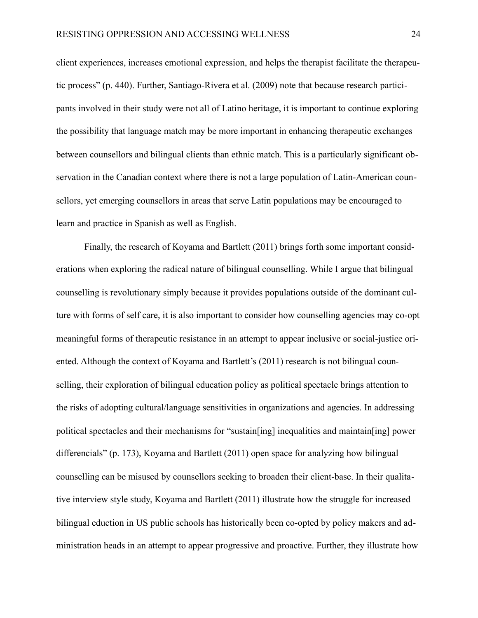client experiences, increases emotional expression, and helps the therapist facilitate the therapeutic process" (p. 440). Further, Santiago-Rivera et al. (2009) note that because research participants involved in their study were not all of Latino heritage, it is important to continue exploring the possibility that language match may be more important in enhancing therapeutic exchanges between counsellors and bilingual clients than ethnic match. This is a particularly significant observation in the Canadian context where there is not a large population of Latin-American counsellors, yet emerging counsellors in areas that serve Latin populations may be encouraged to learn and practice in Spanish as well as English.

 Finally, the research of Koyama and Bartlett (2011) brings forth some important considerations when exploring the radical nature of bilingual counselling. While I argue that bilingual counselling is revolutionary simply because it provides populations outside of the dominant culture with forms of self care, it is also important to consider how counselling agencies may co-opt meaningful forms of therapeutic resistance in an attempt to appear inclusive or social-justice oriented. Although the context of Koyama and Bartlett's (2011) research is not bilingual counselling, their exploration of bilingual education policy as political spectacle brings attention to the risks of adopting cultural/language sensitivities in organizations and agencies. In addressing political spectacles and their mechanisms for "sustain[ing] inequalities and maintain[ing] power differencials" (p. 173), Koyama and Bartlett (2011) open space for analyzing how bilingual counselling can be misused by counsellors seeking to broaden their client-base. In their qualitative interview style study, Koyama and Bartlett (2011) illustrate how the struggle for increased bilingual eduction in US public schools has historically been co-opted by policy makers and administration heads in an attempt to appear progressive and proactive. Further, they illustrate how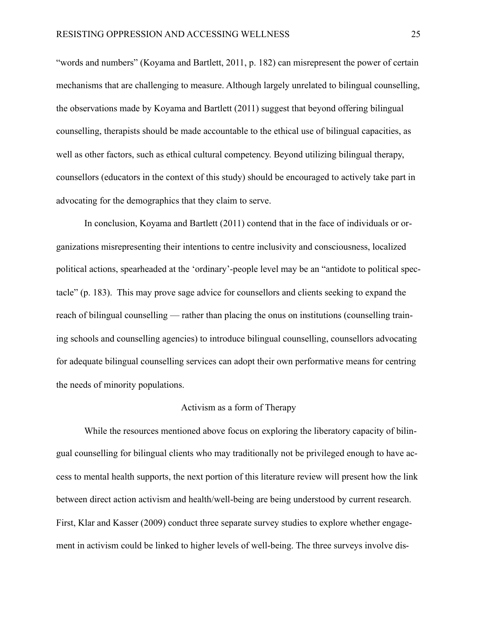"words and numbers" (Koyama and Bartlett, 2011, p. 182) can misrepresent the power of certain mechanisms that are challenging to measure. Although largely unrelated to bilingual counselling, the observations made by Koyama and Bartlett (2011) suggest that beyond offering bilingual counselling, therapists should be made accountable to the ethical use of bilingual capacities, as well as other factors, such as ethical cultural competency. Beyond utilizing bilingual therapy, counsellors (educators in the context of this study) should be encouraged to actively take part in advocating for the demographics that they claim to serve.

 In conclusion, Koyama and Bartlett (2011) contend that in the face of individuals or organizations misrepresenting their intentions to centre inclusivity and consciousness, localized political actions, spearheaded at the 'ordinary'-people level may be an "antidote to political spectacle" (p. 183). This may prove sage advice for counsellors and clients seeking to expand the reach of bilingual counselling — rather than placing the onus on institutions (counselling training schools and counselling agencies) to introduce bilingual counselling, counsellors advocating for adequate bilingual counselling services can adopt their own performative means for centring the needs of minority populations.

## Activism as a form of Therapy

 While the resources mentioned above focus on exploring the liberatory capacity of bilingual counselling for bilingual clients who may traditionally not be privileged enough to have access to mental health supports, the next portion of this literature review will present how the link between direct action activism and health/well-being are being understood by current research. First, Klar and Kasser (2009) conduct three separate survey studies to explore whether engagement in activism could be linked to higher levels of well-being. The three surveys involve dis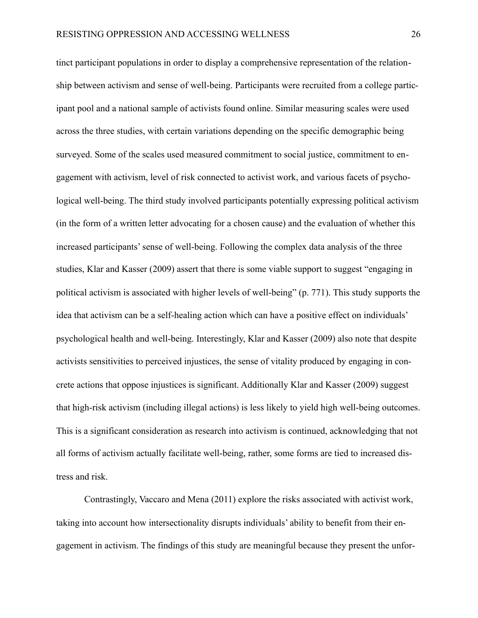tinct participant populations in order to display a comprehensive representation of the relationship between activism and sense of well-being. Participants were recruited from a college participant pool and a national sample of activists found online. Similar measuring scales were used across the three studies, with certain variations depending on the specific demographic being surveyed. Some of the scales used measured commitment to social justice, commitment to engagement with activism, level of risk connected to activist work, and various facets of psychological well-being. The third study involved participants potentially expressing political activism (in the form of a written letter advocating for a chosen cause) and the evaluation of whether this increased participants' sense of well-being. Following the complex data analysis of the three studies, Klar and Kasser (2009) assert that there is some viable support to suggest "engaging in political activism is associated with higher levels of well-being" (p. 771). This study supports the idea that activism can be a self-healing action which can have a positive effect on individuals' psychological health and well-being. Interestingly, Klar and Kasser (2009) also note that despite activists sensitivities to perceived injustices, the sense of vitality produced by engaging in concrete actions that oppose injustices is significant. Additionally Klar and Kasser (2009) suggest that high-risk activism (including illegal actions) is less likely to yield high well-being outcomes. This is a significant consideration as research into activism is continued, acknowledging that not all forms of activism actually facilitate well-being, rather, some forms are tied to increased distress and risk.

 Contrastingly, Vaccaro and Mena (2011) explore the risks associated with activist work, taking into account how intersectionality disrupts individuals' ability to benefit from their engagement in activism. The findings of this study are meaningful because they present the unfor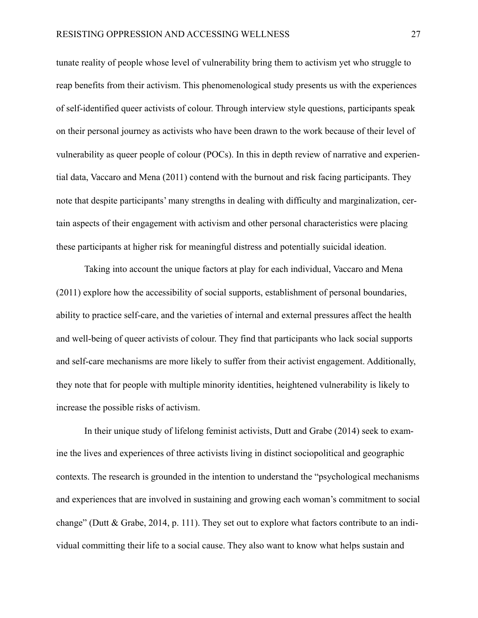tunate reality of people whose level of vulnerability bring them to activism yet who struggle to reap benefits from their activism. This phenomenological study presents us with the experiences of self-identified queer activists of colour. Through interview style questions, participants speak on their personal journey as activists who have been drawn to the work because of their level of vulnerability as queer people of colour (POCs). In this in depth review of narrative and experiential data, Vaccaro and Mena (2011) contend with the burnout and risk facing participants. They note that despite participants' many strengths in dealing with difficulty and marginalization, certain aspects of their engagement with activism and other personal characteristics were placing these participants at higher risk for meaningful distress and potentially suicidal ideation.

 Taking into account the unique factors at play for each individual, Vaccaro and Mena (2011) explore how the accessibility of social supports, establishment of personal boundaries, ability to practice self-care, and the varieties of internal and external pressures affect the health and well-being of queer activists of colour. They find that participants who lack social supports and self-care mechanisms are more likely to suffer from their activist engagement. Additionally, they note that for people with multiple minority identities, heightened vulnerability is likely to increase the possible risks of activism.

 In their unique study of lifelong feminist activists, Dutt and Grabe (2014) seek to examine the lives and experiences of three activists living in distinct sociopolitical and geographic contexts. The research is grounded in the intention to understand the "psychological mechanisms and experiences that are involved in sustaining and growing each woman's commitment to social change" (Dutt & Grabe, 2014, p. 111). They set out to explore what factors contribute to an individual committing their life to a social cause. They also want to know what helps sustain and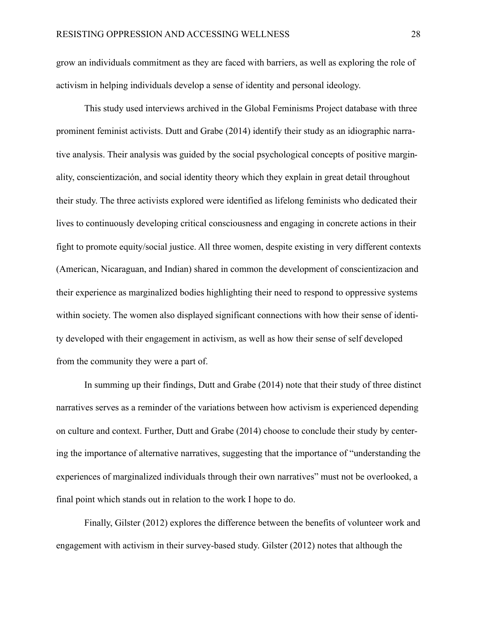grow an individuals commitment as they are faced with barriers, as well as exploring the role of activism in helping individuals develop a sense of identity and personal ideology.

 This study used interviews archived in the Global Feminisms Project database with three prominent feminist activists. Dutt and Grabe (2014) identify their study as an idiographic narrative analysis. Their analysis was guided by the social psychological concepts of positive marginality, conscientización, and social identity theory which they explain in great detail throughout their study. The three activists explored were identified as lifelong feminists who dedicated their lives to continuously developing critical consciousness and engaging in concrete actions in their fight to promote equity/social justice. All three women, despite existing in very different contexts (American, Nicaraguan, and Indian) shared in common the development of conscientizacion and their experience as marginalized bodies highlighting their need to respond to oppressive systems within society. The women also displayed significant connections with how their sense of identity developed with their engagement in activism, as well as how their sense of self developed from the community they were a part of.

 In summing up their findings, Dutt and Grabe (2014) note that their study of three distinct narratives serves as a reminder of the variations between how activism is experienced depending on culture and context. Further, Dutt and Grabe (2014) choose to conclude their study by centering the importance of alternative narratives, suggesting that the importance of "understanding the experiences of marginalized individuals through their own narratives" must not be overlooked, a final point which stands out in relation to the work I hope to do.

 Finally, Gilster (2012) explores the difference between the benefits of volunteer work and engagement with activism in their survey-based study. Gilster (2012) notes that although the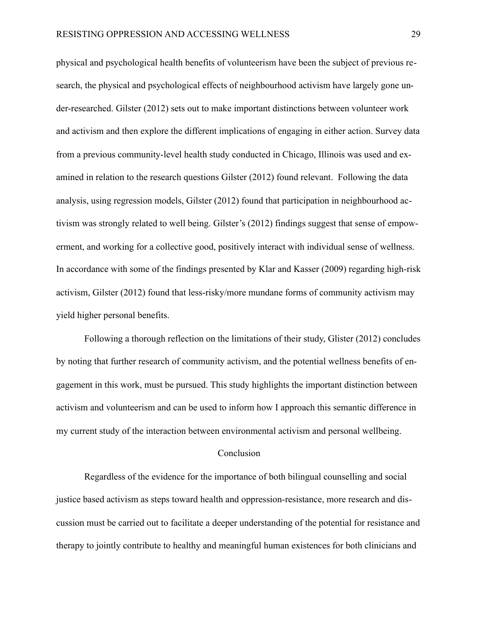physical and psychological health benefits of volunteerism have been the subject of previous research, the physical and psychological effects of neighbourhood activism have largely gone under-researched. Gilster (2012) sets out to make important distinctions between volunteer work and activism and then explore the different implications of engaging in either action. Survey data from a previous community-level health study conducted in Chicago, Illinois was used and examined in relation to the research questions Gilster (2012) found relevant. Following the data analysis, using regression models, Gilster (2012) found that participation in neighbourhood activism was strongly related to well being. Gilster's (2012) findings suggest that sense of empowerment, and working for a collective good, positively interact with individual sense of wellness. In accordance with some of the findings presented by Klar and Kasser (2009) regarding high-risk activism, Gilster (2012) found that less-risky/more mundane forms of community activism may yield higher personal benefits.

 Following a thorough reflection on the limitations of their study, Glister (2012) concludes by noting that further research of community activism, and the potential wellness benefits of engagement in this work, must be pursued. This study highlights the important distinction between activism and volunteerism and can be used to inform how I approach this semantic difference in my current study of the interaction between environmental activism and personal wellbeing.

### Conclusion

 Regardless of the evidence for the importance of both bilingual counselling and social justice based activism as steps toward health and oppression-resistance, more research and discussion must be carried out to facilitate a deeper understanding of the potential for resistance and therapy to jointly contribute to healthy and meaningful human existences for both clinicians and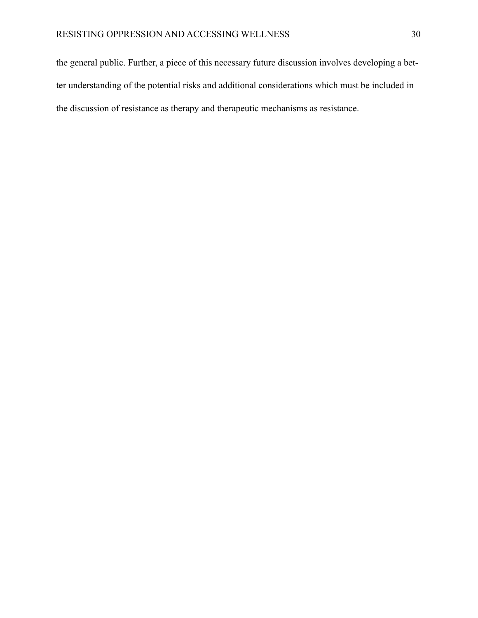the general public. Further, a piece of this necessary future discussion involves developing a better understanding of the potential risks and additional considerations which must be included in the discussion of resistance as therapy and therapeutic mechanisms as resistance.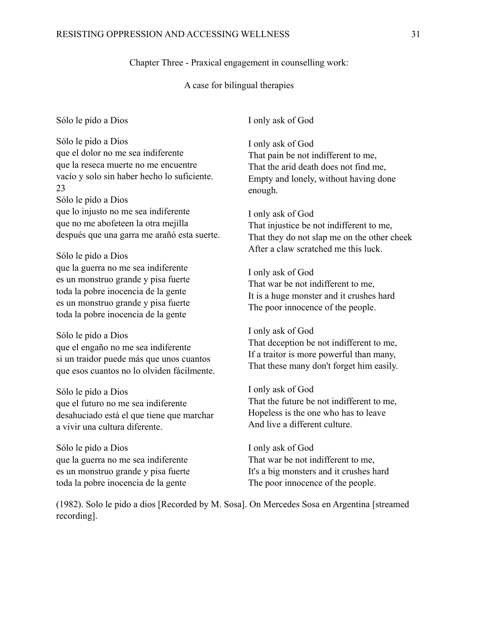Chapter Three - Praxical engagement in counselling work:

A case for bilingual therapies

### Sólo le pido a Dios

Sólo le pido a Dios que el dolor no me sea indiferente que la reseca muerte no me encuentre vacío y solo sin haber hecho lo suficiente. 23 Sólo le pido a Dios que lo injusto no me sea indiferente que no me abofeteen la otra mejilla después que una garra me arañó esta suerte.

Sólo le pido a Dios que la guerra no me sea indiferente es un monstruo grande y pisa fuerte toda la pobre inocencia de la gente es un monstruo grande y pisa fuerte toda la pobre inocencia de la gente

Sólo le pido a Dios que el engaño no me sea indiferente si un traidor puede más que unos cuantos que esos cuantos no lo olviden fácilmente.

Sólo le pido a Dios que el futuro no me sea indiferente desahuciado está el que tiene que marchar a vivir una cultura diferente.

Sólo le pido a Dios que la guerra no me sea indiferente es un monstruo grande y pisa fuerte toda la pobre inocencia de la gente

I only ask of God

I only ask of God That pain be not indifferent to me, That the arid death does not find me, Empty and lonely, without having done enough.

I only ask of God That injustice be not indifferent to me, That they do not slap me on the other cheek After a claw scratched me this luck.

I only ask of God That war be not indifferent to me, It is a huge monster and it crushes hard The poor innocence of the people.

I only ask of God That deception be not indifferent to me, If a traitor is more powerful than many, That these many don't forget him easily.

I only ask of God That the future be not indifferent to me, Hopeless is the one who has to leave And live a different culture.

I only ask of God That war be not indifferent to me, It's a big monsters and it crushes hard The poor innocence of the people.

(1982). Solo le pido a dios [Recorded by M. Sosa]. On Mercedes Sosa en Argentina [streamed recording].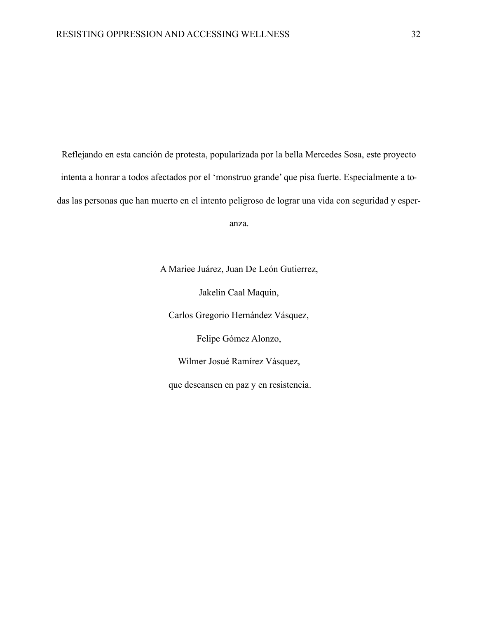Reflejando en esta canción de protesta, popularizada por la bella Mercedes Sosa, este proyecto intenta a honrar a todos afectados por el 'monstruo grande' que pisa fuerte. Especialmente a todas las personas que han muerto en el intento peligroso de lograr una vida con seguridad y esper-

anza.

A Mariee Juárez, Juan De León Gutierrez, Jakelin Caal Maquin, Carlos Gregorio Hernández Vásquez, Felipe Gómez Alonzo, Wilmer Josué Ramírez Vásquez, que descansen en paz y en resistencia.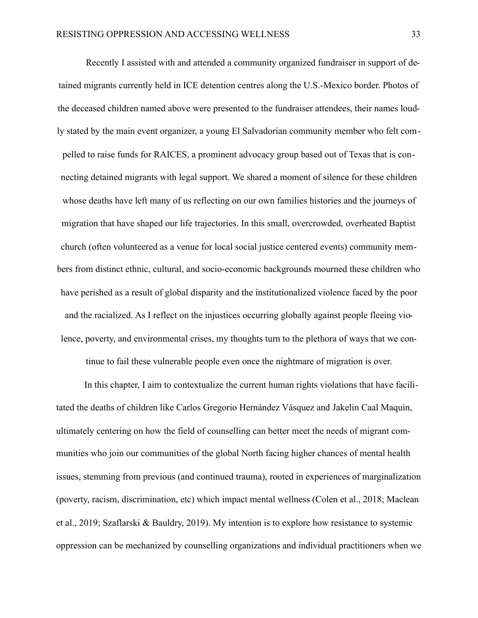Recently I assisted with and attended a community organized fundraiser in support of detained migrants currently held in ICE detention centres along the U.S.-Mexico border. Photos of the deceased children named above were presented to the fundraiser attendees, their names loudly stated by the main event organizer, a young El Salvadorian community member who felt compelled to raise funds for RAICES, a prominent advocacy group based out of Texas that is connecting detained migrants with legal support. We shared a moment of silence for these children whose deaths have left many of us reflecting on our own families histories and the journeys of migration that have shaped our life trajectories. In this small, overcrowded, overheated Baptist church (often volunteered as a venue for local social justice centered events) community members from distinct ethnic, cultural, and socio-economic backgrounds mourned these children who have perished as a result of global disparity and the institutionalized violence faced by the poor and the racialized. As I reflect on the injustices occurring globally against people fleeing violence, poverty, and environmental crises, my thoughts turn to the plethora of ways that we con-

tinue to fail these vulnerable people even once the nightmare of migration is over.

 In this chapter, I aim to contextualize the current human rights violations that have facilitated the deaths of children like Carlos Gregorio Hernández Vásquez and Jakelin Caal Maquin, ultimately centering on how the field of counselling can better meet the needs of migrant communities who join our communities of the global North facing higher chances of mental health issues, stemming from previous (and continued trauma), rooted in experiences of marginalization (poverty, racism, discrimination, etc) which impact mental wellness (Colen et al., 2018; Maclean et al., 2019; Szaflarski & Bauldry, 2019). My intention is to explore how resistance to systemic oppression can be mechanized by counselling organizations and individual practitioners when we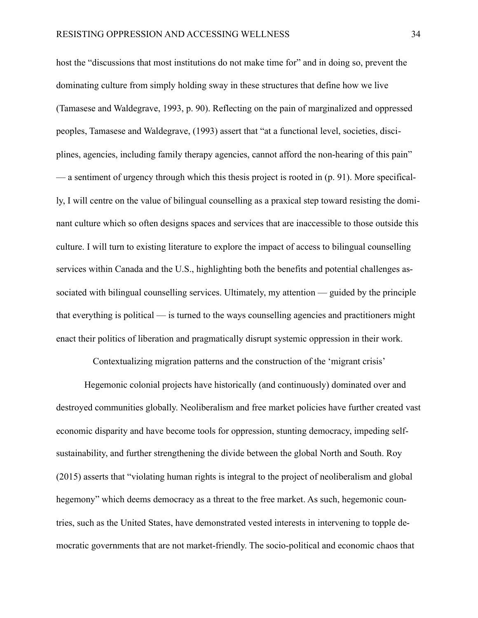host the "discussions that most institutions do not make time for" and in doing so, prevent the dominating culture from simply holding sway in these structures that define how we live (Tamasese and Waldegrave, 1993, p. 90). Reflecting on the pain of marginalized and oppressed peoples, Tamasese and Waldegrave, (1993) assert that "at a functional level, societies, disciplines, agencies, including family therapy agencies, cannot afford the non-hearing of this pain" — a sentiment of urgency through which this thesis project is rooted in (p. 91). More specifically, I will centre on the value of bilingual counselling as a praxical step toward resisting the dominant culture which so often designs spaces and services that are inaccessible to those outside this culture. I will turn to existing literature to explore the impact of access to bilingual counselling services within Canada and the U.S., highlighting both the benefits and potential challenges associated with bilingual counselling services. Ultimately, my attention — guided by the principle that everything is political — is turned to the ways counselling agencies and practitioners might enact their politics of liberation and pragmatically disrupt systemic oppression in their work.

Contextualizing migration patterns and the construction of the 'migrant crisis'

 Hegemonic colonial projects have historically (and continuously) dominated over and destroyed communities globally. Neoliberalism and free market policies have further created vast economic disparity and have become tools for oppression, stunting democracy, impeding selfsustainability, and further strengthening the divide between the global North and South. Roy (2015) asserts that "violating human rights is integral to the project of neoliberalism and global hegemony" which deems democracy as a threat to the free market. As such, hegemonic countries, such as the United States, have demonstrated vested interests in intervening to topple democratic governments that are not market-friendly. The socio-political and economic chaos that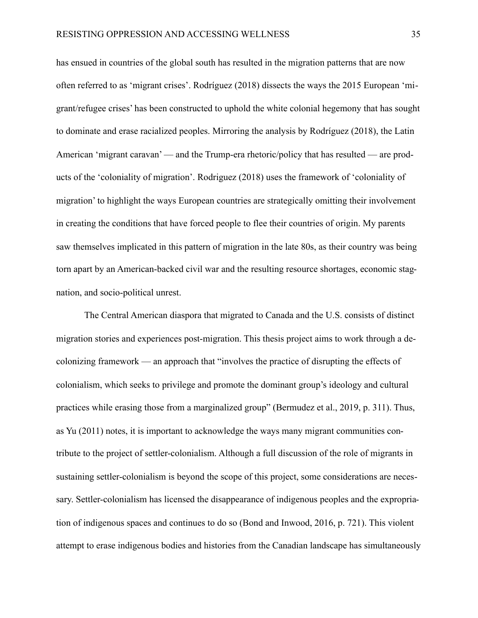has ensued in countries of the global south has resulted in the migration patterns that are now often referred to as 'migrant crises'. Rodríguez (2018) dissects the ways the 2015 European 'migrant/refugee crises' has been constructed to uphold the white colonial hegemony that has sought to dominate and erase racialized peoples. Mirroring the analysis by Rodríguez (2018), the Latin American 'migrant caravan' — and the Trump-era rhetoric/policy that has resulted — are products of the 'coloniality of migration'. Rodriguez (2018) uses the framework of 'coloniality of migration' to highlight the ways European countries are strategically omitting their involvement in creating the conditions that have forced people to flee their countries of origin. My parents saw themselves implicated in this pattern of migration in the late 80s, as their country was being torn apart by an American-backed civil war and the resulting resource shortages, economic stagnation, and socio-political unrest.

 The Central American diaspora that migrated to Canada and the U.S. consists of distinct migration stories and experiences post-migration. This thesis project aims to work through a decolonizing framework — an approach that "involves the practice of disrupting the effects of colonialism, which seeks to privilege and promote the dominant group's ideology and cultural practices while erasing those from a marginalized group" (Bermudez et al., 2019, p. 311). Thus, as Yu (2011) notes, it is important to acknowledge the ways many migrant communities contribute to the project of settler-colonialism. Although a full discussion of the role of migrants in sustaining settler-colonialism is beyond the scope of this project, some considerations are necessary. Settler-colonialism has licensed the disappearance of indigenous peoples and the expropriation of indigenous spaces and continues to do so (Bond and Inwood, 2016, p. 721). This violent attempt to erase indigenous bodies and histories from the Canadian landscape has simultaneously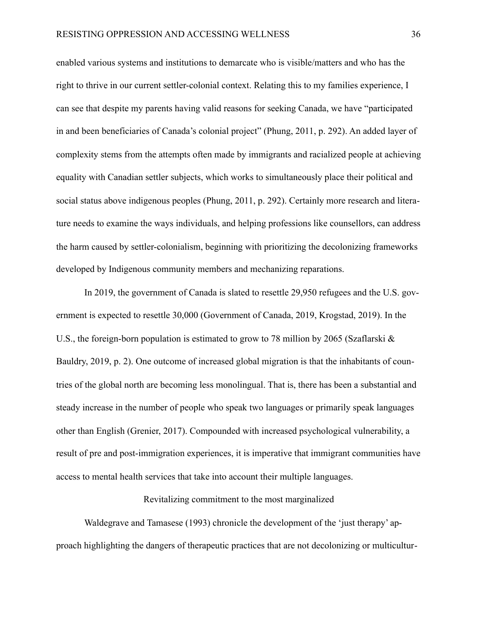enabled various systems and institutions to demarcate who is visible/matters and who has the right to thrive in our current settler-colonial context. Relating this to my families experience, I can see that despite my parents having valid reasons for seeking Canada, we have "participated in and been beneficiaries of Canada's colonial project" (Phung, 2011, p. 292). An added layer of complexity stems from the attempts often made by immigrants and racialized people at achieving equality with Canadian settler subjects, which works to simultaneously place their political and social status above indigenous peoples (Phung, 2011, p. 292). Certainly more research and literature needs to examine the ways individuals, and helping professions like counsellors, can address the harm caused by settler-colonialism, beginning with prioritizing the decolonizing frameworks developed by Indigenous community members and mechanizing reparations.

 In 2019, the government of Canada is slated to resettle 29,950 refugees and the U.S. government is expected to resettle 30,000 (Government of Canada, 2019, Krogstad, 2019). In the U.S., the foreign-born population is estimated to grow to 78 million by 2065 (Szaflarski & Bauldry, 2019, p. 2). One outcome of increased global migration is that the inhabitants of countries of the global north are becoming less monolingual. That is, there has been a substantial and steady increase in the number of people who speak two languages or primarily speak languages other than English (Grenier, 2017). Compounded with increased psychological vulnerability, a result of pre and post-immigration experiences, it is imperative that immigrant communities have access to mental health services that take into account their multiple languages.

# Revitalizing commitment to the most marginalized

 Waldegrave and Tamasese (1993) chronicle the development of the 'just therapy' approach highlighting the dangers of therapeutic practices that are not decolonizing or multicultur-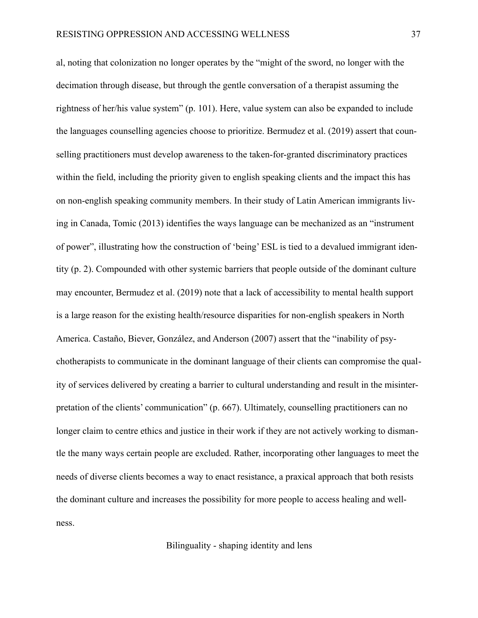al, noting that colonization no longer operates by the "might of the sword, no longer with the decimation through disease, but through the gentle conversation of a therapist assuming the rightness of her/his value system" (p. 101). Here, value system can also be expanded to include the languages counselling agencies choose to prioritize. Bermudez et al. (2019) assert that counselling practitioners must develop awareness to the taken-for-granted discriminatory practices within the field, including the priority given to english speaking clients and the impact this has on non-english speaking community members. In their study of Latin American immigrants living in Canada, Tomic (2013) identifies the ways language can be mechanized as an "instrument of power", illustrating how the construction of 'being' ESL is tied to a devalued immigrant identity (p. 2). Compounded with other systemic barriers that people outside of the dominant culture may encounter, Bermudez et al. (2019) note that a lack of accessibility to mental health support is a large reason for the existing health/resource disparities for non-english speakers in North America. Castaño, Biever, González, and Anderson (2007) assert that the "inability of psychotherapists to communicate in the dominant language of their clients can compromise the quality of services delivered by creating a barrier to cultural understanding and result in the misinterpretation of the clients' communication" (p. 667). Ultimately, counselling practitioners can no longer claim to centre ethics and justice in their work if they are not actively working to dismantle the many ways certain people are excluded. Rather, incorporating other languages to meet the needs of diverse clients becomes a way to enact resistance, a praxical approach that both resists the dominant culture and increases the possibility for more people to access healing and wellness.

Bilinguality - shaping identity and lens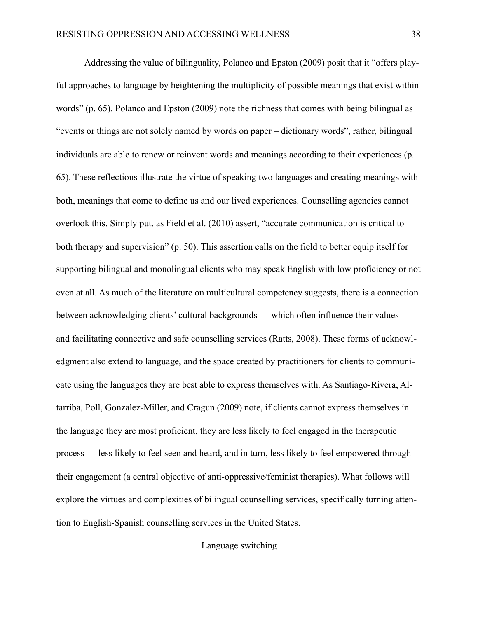Addressing the value of bilinguality, Polanco and Epston (2009) posit that it "offers playful approaches to language by heightening the multiplicity of possible meanings that exist within words" (p. 65). Polanco and Epston (2009) note the richness that comes with being bilingual as "events or things are not solely named by words on paper – dictionary words", rather, bilingual individuals are able to renew or reinvent words and meanings according to their experiences (p. 65). These reflections illustrate the virtue of speaking two languages and creating meanings with both, meanings that come to define us and our lived experiences. Counselling agencies cannot overlook this. Simply put, as Field et al. (2010) assert, "accurate communication is critical to both therapy and supervision" (p. 50). This assertion calls on the field to better equip itself for supporting bilingual and monolingual clients who may speak English with low proficiency or not even at all. As much of the literature on multicultural competency suggests, there is a connection between acknowledging clients' cultural backgrounds — which often influence their values and facilitating connective and safe counselling services (Ratts, 2008). These forms of acknowledgment also extend to language, and the space created by practitioners for clients to communicate using the languages they are best able to express themselves with. As Santiago-Rivera, Altarriba, Poll, Gonzalez-Miller, and Cragun (2009) note, if clients cannot express themselves in the language they are most proficient, they are less likely to feel engaged in the therapeutic process — less likely to feel seen and heard, and in turn, less likely to feel empowered through their engagement (a central objective of anti-oppressive/feminist therapies). What follows will explore the virtues and complexities of bilingual counselling services, specifically turning attention to English-Spanish counselling services in the United States.

### Language switching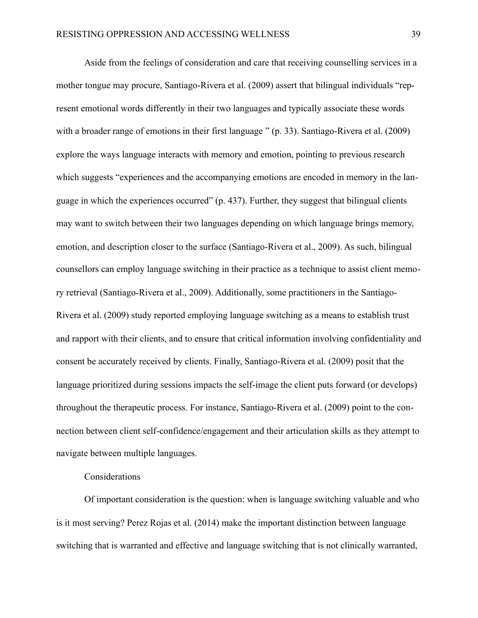Aside from the feelings of consideration and care that receiving counselling services in a mother tongue may procure, Santiago-Rivera et al. (2009) assert that bilingual individuals "represent emotional words differently in their two languages and typically associate these words with a broader range of emotions in their first language " (p. 33). Santiago-Rivera et al. (2009) explore the ways language interacts with memory and emotion, pointing to previous research which suggests "experiences and the accompanying emotions are encoded in memory in the language in which the experiences occurred" (p. 437). Further, they suggest that bilingual clients may want to switch between their two languages depending on which language brings memory, emotion, and description closer to the surface (Santiago-Rivera et al., 2009). As such, bilingual counsellors can employ language switching in their practice as a technique to assist client memory retrieval (Santiago-Rivera et al., 2009). Additionally, some practitioners in the Santiago-Rivera et al. (2009) study reported employing language switching as a means to establish trust and rapport with their clients, and to ensure that critical information involving confidentiality and consent be accurately received by clients. Finally, Santiago-Rivera et al. (2009) posit that the language prioritized during sessions impacts the self-image the client puts forward (or develops) throughout the therapeutic process. For instance, Santiago-Rivera et al. (2009) point to the connection between client self-confidence/engagement and their articulation skills as they attempt to navigate between multiple languages.

# Considerations

 Of important consideration is the question: when is language switching valuable and who is it most serving? Perez Rojas et al. (2014) make the important distinction between language switching that is warranted and effective and language switching that is not clinically warranted,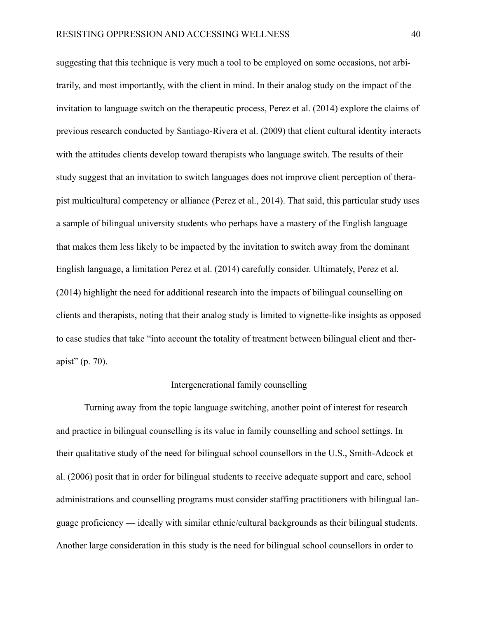suggesting that this technique is very much a tool to be employed on some occasions, not arbitrarily, and most importantly, with the client in mind. In their analog study on the impact of the invitation to language switch on the therapeutic process, Perez et al. (2014) explore the claims of previous research conducted by Santiago-Rivera et al. (2009) that client cultural identity interacts with the attitudes clients develop toward therapists who language switch. The results of their study suggest that an invitation to switch languages does not improve client perception of therapist multicultural competency or alliance (Perez et al., 2014). That said, this particular study uses a sample of bilingual university students who perhaps have a mastery of the English language that makes them less likely to be impacted by the invitation to switch away from the dominant English language, a limitation Perez et al. (2014) carefully consider. Ultimately, Perez et al. (2014) highlight the need for additional research into the impacts of bilingual counselling on clients and therapists, noting that their analog study is limited to vignette-like insights as opposed to case studies that take "into account the totality of treatment between bilingual client and therapist" (p. 70).

### Intergenerational family counselling

 Turning away from the topic language switching, another point of interest for research and practice in bilingual counselling is its value in family counselling and school settings. In their qualitative study of the need for bilingual school counsellors in the U.S., Smith-Adcock et al. (2006) posit that in order for bilingual students to receive adequate support and care, school administrations and counselling programs must consider staffing practitioners with bilingual language proficiency — ideally with similar ethnic/cultural backgrounds as their bilingual students. Another large consideration in this study is the need for bilingual school counsellors in order to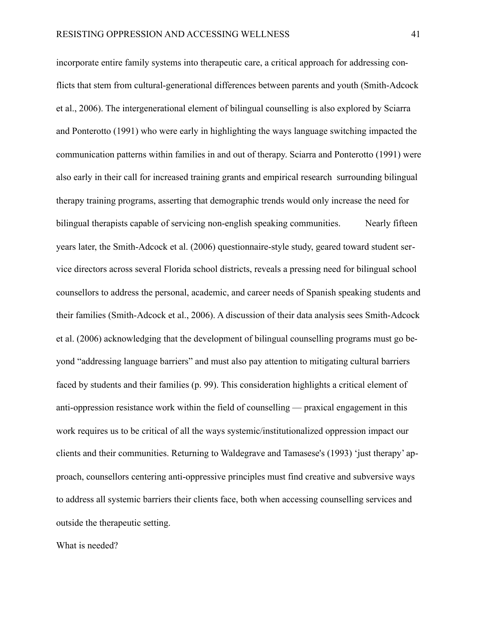incorporate entire family systems into therapeutic care, a critical approach for addressing conflicts that stem from cultural-generational differences between parents and youth (Smith-Adcock et al., 2006). The intergenerational element of bilingual counselling is also explored by Sciarra and Ponterotto (1991) who were early in highlighting the ways language switching impacted the communication patterns within families in and out of therapy. Sciarra and Ponterotto (1991) were also early in their call for increased training grants and empirical research surrounding bilingual therapy training programs, asserting that demographic trends would only increase the need for bilingual therapists capable of servicing non-english speaking communities. Nearly fifteen years later, the Smith-Adcock et al. (2006) questionnaire-style study, geared toward student service directors across several Florida school districts, reveals a pressing need for bilingual school counsellors to address the personal, academic, and career needs of Spanish speaking students and their families (Smith-Adcock et al., 2006). A discussion of their data analysis sees Smith-Adcock et al. (2006) acknowledging that the development of bilingual counselling programs must go beyond "addressing language barriers" and must also pay attention to mitigating cultural barriers faced by students and their families (p. 99). This consideration highlights a critical element of anti-oppression resistance work within the field of counselling — praxical engagement in this work requires us to be critical of all the ways systemic/institutionalized oppression impact our clients and their communities. Returning to Waldegrave and Tamasese's (1993) 'just therapy' approach, counsellors centering anti-oppressive principles must find creative and subversive ways to address all systemic barriers their clients face, both when accessing counselling services and outside the therapeutic setting.

What is needed?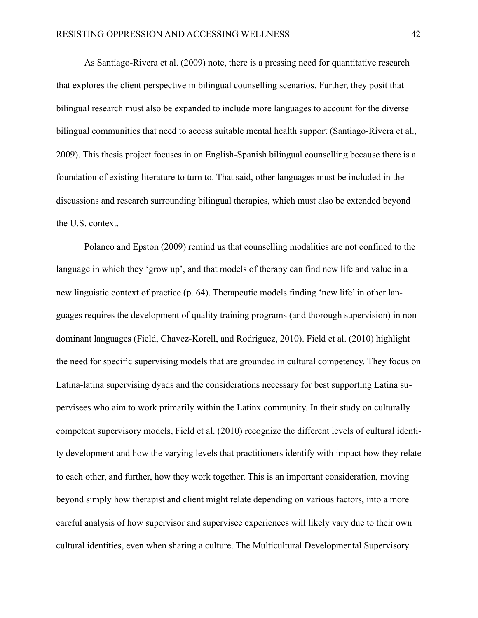As Santiago-Rivera et al. (2009) note, there is a pressing need for quantitative research that explores the client perspective in bilingual counselling scenarios. Further, they posit that bilingual research must also be expanded to include more languages to account for the diverse bilingual communities that need to access suitable mental health support (Santiago-Rivera et al., 2009). This thesis project focuses in on English-Spanish bilingual counselling because there is a foundation of existing literature to turn to. That said, other languages must be included in the discussions and research surrounding bilingual therapies, which must also be extended beyond the U.S. context.

Polanco and Epston (2009) remind us that counselling modalities are not confined to the language in which they 'grow up', and that models of therapy can find new life and value in a new linguistic context of practice (p. 64). Therapeutic models finding 'new life' in other languages requires the development of quality training programs (and thorough supervision) in nondominant languages (Field, Chavez-Korell, and Rodríguez, 2010). Field et al. (2010) highlight the need for specific supervising models that are grounded in cultural competency. They focus on Latina-latina supervising dyads and the considerations necessary for best supporting Latina supervisees who aim to work primarily within the Latinx community. In their study on culturally competent supervisory models, Field et al. (2010) recognize the different levels of cultural identity development and how the varying levels that practitioners identify with impact how they relate to each other, and further, how they work together. This is an important consideration, moving beyond simply how therapist and client might relate depending on various factors, into a more careful analysis of how supervisor and supervisee experiences will likely vary due to their own cultural identities, even when sharing a culture. The Multicultural Developmental Supervisory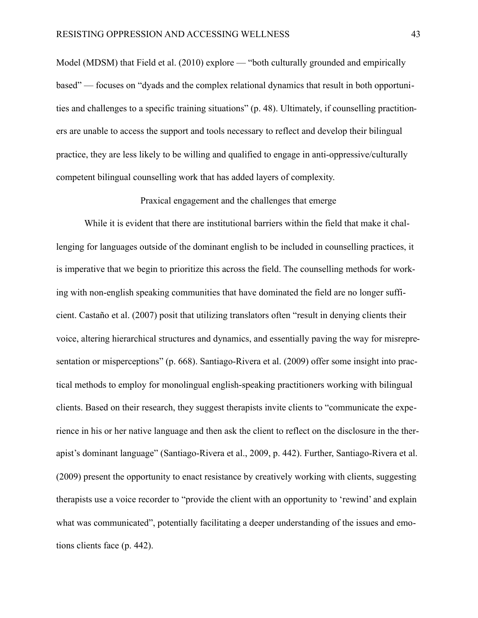Model (MDSM) that Field et al. (2010) explore — "both culturally grounded and empirically based" — focuses on "dyads and the complex relational dynamics that result in both opportunities and challenges to a specific training situations" (p. 48). Ultimately, if counselling practitioners are unable to access the support and tools necessary to reflect and develop their bilingual practice, they are less likely to be willing and qualified to engage in anti-oppressive/culturally competent bilingual counselling work that has added layers of complexity.

### Praxical engagement and the challenges that emerge

 While it is evident that there are institutional barriers within the field that make it challenging for languages outside of the dominant english to be included in counselling practices, it is imperative that we begin to prioritize this across the field. The counselling methods for working with non-english speaking communities that have dominated the field are no longer sufficient. Castaño et al. (2007) posit that utilizing translators often "result in denying clients their voice, altering hierarchical structures and dynamics, and essentially paving the way for misrepresentation or misperceptions" (p. 668). Santiago-Rivera et al. (2009) offer some insight into practical methods to employ for monolingual english-speaking practitioners working with bilingual clients. Based on their research, they suggest therapists invite clients to "communicate the experience in his or her native language and then ask the client to reflect on the disclosure in the therapist's dominant language" (Santiago-Rivera et al., 2009, p. 442). Further, Santiago-Rivera et al. (2009) present the opportunity to enact resistance by creatively working with clients, suggesting therapists use a voice recorder to "provide the client with an opportunity to 'rewind' and explain what was communicated", potentially facilitating a deeper understanding of the issues and emotions clients face (p. 442).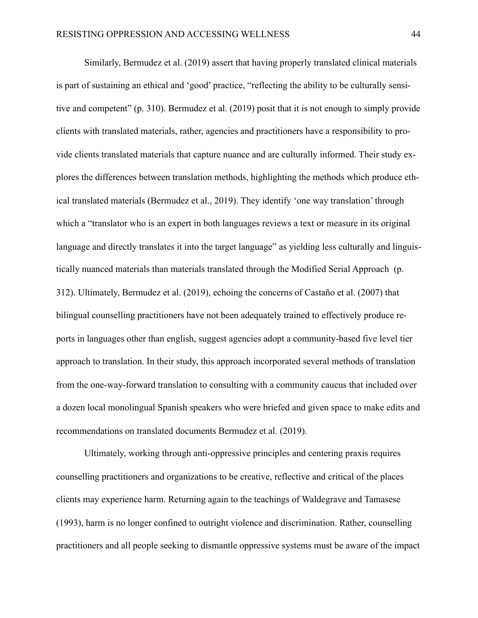Similarly, Bermudez et al. (2019) assert that having properly translated clinical materials is part of sustaining an ethical and 'good' practice, "reflecting the ability to be culturally sensitive and competent" (p. 310). Bermudez et al. (2019) posit that it is not enough to simply provide clients with translated materials, rather, agencies and practitioners have a responsibility to provide clients translated materials that capture nuance and are culturally informed. Their study explores the differences between translation methods, highlighting the methods which produce ethical translated materials (Bermudez et al., 2019). They identify 'one way translation' through which a "translator who is an expert in both languages reviews a text or measure in its original language and directly translates it into the target language" as yielding less culturally and linguistically nuanced materials than materials translated through the Modified Serial Approach (p. 312). Ultimately, Bermudez et al. (2019), echoing the concerns of Castaño et al. (2007) that bilingual counselling practitioners have not been adequately trained to effectively produce reports in languages other than english, suggest agencies adopt a community-based five level tier approach to translation. In their study, this approach incorporated several methods of translation from the one-way-forward translation to consulting with a community caucus that included over a dozen local monolingual Spanish speakers who were briefed and given space to make edits and recommendations on translated documents Bermudez et al. (2019).

 Ultimately, working through anti-oppressive principles and centering praxis requires counselling practitioners and organizations to be creative, reflective and critical of the places clients may experience harm. Returning again to the teachings of Waldegrave and Tamasese (1993), harm is no longer confined to outright violence and discrimination. Rather, counselling practitioners and all people seeking to dismantle oppressive systems must be aware of the impact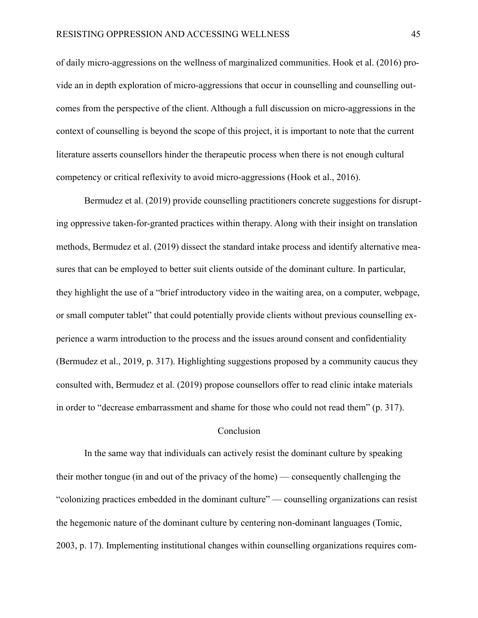of daily micro-aggressions on the wellness of marginalized communities. Hook et al. (2016) provide an in depth exploration of micro-aggressions that occur in counselling and counselling outcomes from the perspective of the client. Although a full discussion on micro-aggressions in the context of counselling is beyond the scope of this project, it is important to note that the current literature asserts counsellors hinder the therapeutic process when there is not enough cultural competency or critical reflexivity to avoid micro-aggressions (Hook et al., 2016).

 Bermudez et al. (2019) provide counselling practitioners concrete suggestions for disrupting oppressive taken-for-granted practices within therapy. Along with their insight on translation methods, Bermudez et al. (2019) dissect the standard intake process and identify alternative measures that can be employed to better suit clients outside of the dominant culture. In particular, they highlight the use of a "brief introductory video in the waiting area, on a computer, webpage, or small computer tablet" that could potentially provide clients without previous counselling experience a warm introduction to the process and the issues around consent and confidentiality (Bermudez et al., 2019, p. 317). Highlighting suggestions proposed by a community caucus they consulted with, Bermudez et al. (2019) propose counsellors offer to read clinic intake materials in order to "decrease embarrassment and shame for those who could not read them" (p. 317).

# Conclusion

 In the same way that individuals can actively resist the dominant culture by speaking their mother tongue (in and out of the privacy of the home) — consequently challenging the "colonizing practices embedded in the dominant culture" — counselling organizations can resist the hegemonic nature of the dominant culture by centering non-dominant languages (Tomic, 2003, p. 17). Implementing institutional changes within counselling organizations requires com-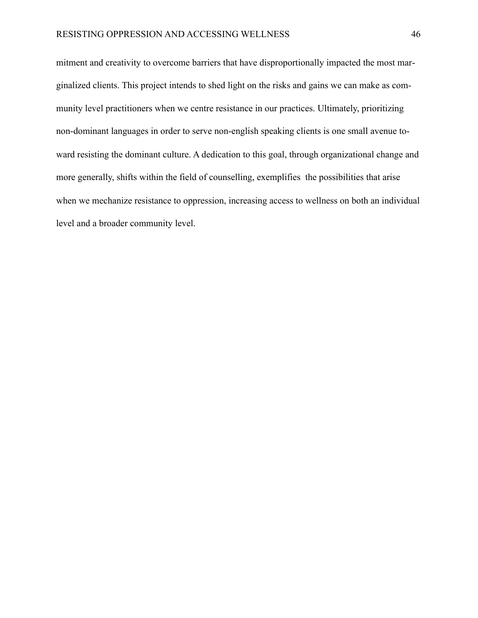mitment and creativity to overcome barriers that have disproportionally impacted the most marginalized clients. This project intends to shed light on the risks and gains we can make as community level practitioners when we centre resistance in our practices. Ultimately, prioritizing non-dominant languages in order to serve non-english speaking clients is one small avenue toward resisting the dominant culture. A dedication to this goal, through organizational change and more generally, shifts within the field of counselling, exemplifies the possibilities that arise when we mechanize resistance to oppression, increasing access to wellness on both an individual level and a broader community level.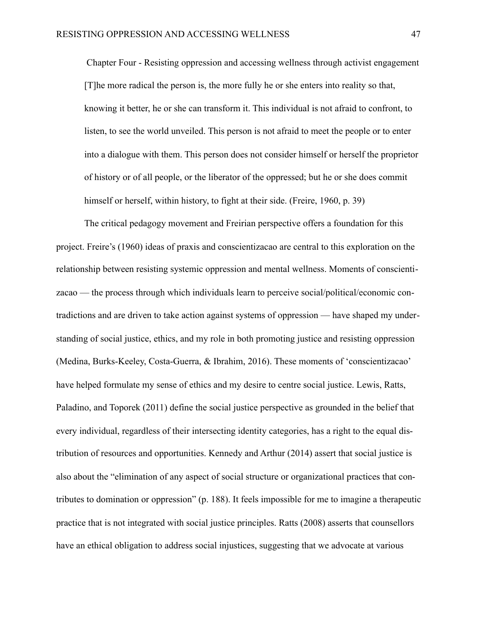Chapter Four - Resisting oppression and accessing wellness through activist engagement [T]he more radical the person is, the more fully he or she enters into reality so that, knowing it better, he or she can transform it. This individual is not afraid to confront, to listen, to see the world unveiled. This person is not afraid to meet the people or to enter into a dialogue with them. This person does not consider himself or herself the proprietor of history or of all people, or the liberator of the oppressed; but he or she does commit himself or herself, within history, to fight at their side. (Freire, 1960, p. 39)

 The critical pedagogy movement and Freirian perspective offers a foundation for this project. Freire's (1960) ideas of praxis and conscientizacao are central to this exploration on the relationship between resisting systemic oppression and mental wellness. Moments of conscientizacao — the process through which individuals learn to perceive social/political/economic contradictions and are driven to take action against systems of oppression — have shaped my understanding of social justice, ethics, and my role in both promoting justice and resisting oppression (Medina, Burks-Keeley, Costa-Guerra, & Ibrahim, 2016). These moments of 'conscientizacao' have helped formulate my sense of ethics and my desire to centre social justice. Lewis, Ratts, Paladino, and Toporek (2011) define the social justice perspective as grounded in the belief that every individual, regardless of their intersecting identity categories, has a right to the equal distribution of resources and opportunities. Kennedy and Arthur (2014) assert that social justice is also about the "elimination of any aspect of social structure or organizational practices that contributes to domination or oppression" (p. 188). It feels impossible for me to imagine a therapeutic practice that is not integrated with social justice principles. Ratts (2008) asserts that counsellors have an ethical obligation to address social injustices, suggesting that we advocate at various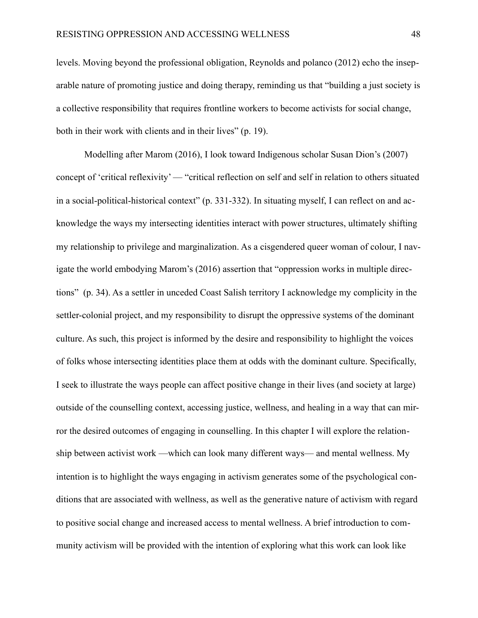levels. Moving beyond the professional obligation, Reynolds and polanco (2012) echo the inseparable nature of promoting justice and doing therapy, reminding us that "building a just society is a collective responsibility that requires frontline workers to become activists for social change, both in their work with clients and in their lives" (p. 19).

 Modelling after Marom (2016), I look toward Indigenous scholar Susan Dion's (2007) concept of 'critical reflexivity' — "critical reflection on self and self in relation to others situated in a social-political-historical context" (p. 331-332). In situating myself, I can reflect on and acknowledge the ways my intersecting identities interact with power structures, ultimately shifting my relationship to privilege and marginalization. As a cisgendered queer woman of colour, I navigate the world embodying Marom's (2016) assertion that "oppression works in multiple directions" (p. 34). As a settler in unceded Coast Salish territory I acknowledge my complicity in the settler-colonial project, and my responsibility to disrupt the oppressive systems of the dominant culture. As such, this project is informed by the desire and responsibility to highlight the voices of folks whose intersecting identities place them at odds with the dominant culture. Specifically, I seek to illustrate the ways people can affect positive change in their lives (and society at large) outside of the counselling context, accessing justice, wellness, and healing in a way that can mirror the desired outcomes of engaging in counselling. In this chapter I will explore the relationship between activist work —which can look many different ways— and mental wellness. My intention is to highlight the ways engaging in activism generates some of the psychological conditions that are associated with wellness, as well as the generative nature of activism with regard to positive social change and increased access to mental wellness. A brief introduction to community activism will be provided with the intention of exploring what this work can look like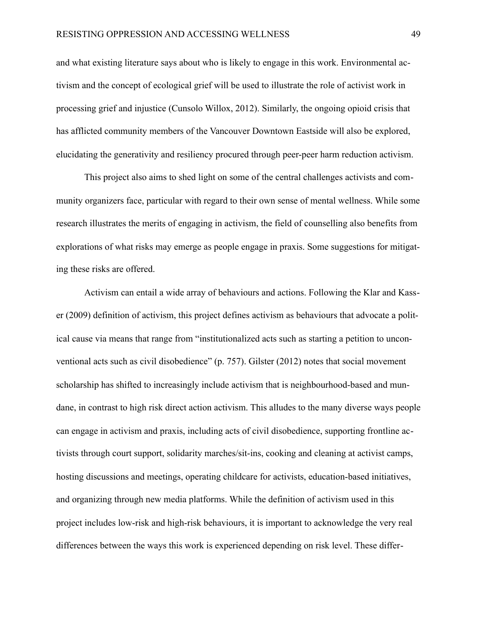and what existing literature says about who is likely to engage in this work. Environmental activism and the concept of ecological grief will be used to illustrate the role of activist work in processing grief and injustice (Cunsolo Willox, 2012). Similarly, the ongoing opioid crisis that has afflicted community members of the Vancouver Downtown Eastside will also be explored, elucidating the generativity and resiliency procured through peer-peer harm reduction activism.

 This project also aims to shed light on some of the central challenges activists and community organizers face, particular with regard to their own sense of mental wellness. While some research illustrates the merits of engaging in activism, the field of counselling also benefits from explorations of what risks may emerge as people engage in praxis. Some suggestions for mitigating these risks are offered.

 Activism can entail a wide array of behaviours and actions. Following the Klar and Kasser (2009) definition of activism, this project defines activism as behaviours that advocate a political cause via means that range from "institutionalized acts such as starting a petition to unconventional acts such as civil disobedience" (p. 757). Gilster (2012) notes that social movement scholarship has shifted to increasingly include activism that is neighbourhood-based and mundane, in contrast to high risk direct action activism. This alludes to the many diverse ways people can engage in activism and praxis, including acts of civil disobedience, supporting frontline activists through court support, solidarity marches/sit-ins, cooking and cleaning at activist camps, hosting discussions and meetings, operating childcare for activists, education-based initiatives, and organizing through new media platforms. While the definition of activism used in this project includes low-risk and high-risk behaviours, it is important to acknowledge the very real differences between the ways this work is experienced depending on risk level. These differ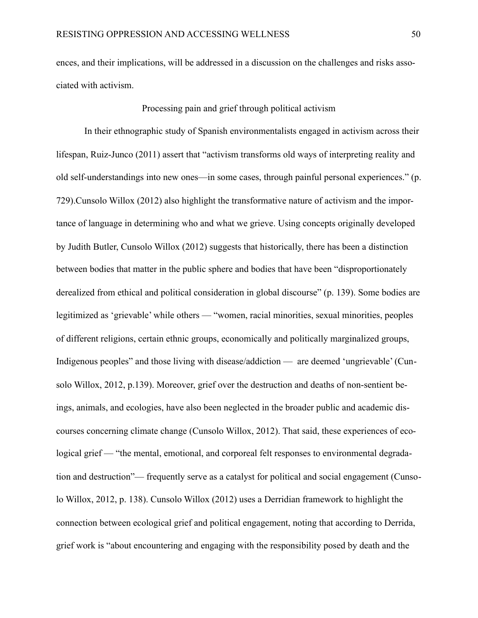ences, and their implications, will be addressed in a discussion on the challenges and risks associated with activism.

# Processing pain and grief through political activism

 In their ethnographic study of Spanish environmentalists engaged in activism across their lifespan, Ruiz-Junco (2011) assert that "activism transforms old ways of interpreting reality and old self-understandings into new ones—in some cases, through painful personal experiences." (p. 729).Cunsolo Willox (2012) also highlight the transformative nature of activism and the importance of language in determining who and what we grieve. Using concepts originally developed by Judith Butler, Cunsolo Willox (2012) suggests that historically, there has been a distinction between bodies that matter in the public sphere and bodies that have been "disproportionately derealized from ethical and political consideration in global discourse" (p. 139). Some bodies are legitimized as 'grievable' while others — "women, racial minorities, sexual minorities, peoples of different religions, certain ethnic groups, economically and politically marginalized groups, Indigenous peoples" and those living with disease/addiction — are deemed 'ungrievable' (Cunsolo Willox, 2012, p.139). Moreover, grief over the destruction and deaths of non-sentient beings, animals, and ecologies, have also been neglected in the broader public and academic discourses concerning climate change (Cunsolo Willox, 2012). That said, these experiences of ecological grief — "the mental, emotional, and corporeal felt responses to environmental degradation and destruction"— frequently serve as a catalyst for political and social engagement (Cunsolo Willox, 2012, p. 138). Cunsolo Willox (2012) uses a Derridian framework to highlight the connection between ecological grief and political engagement, noting that according to Derrida, grief work is "about encountering and engaging with the responsibility posed by death and the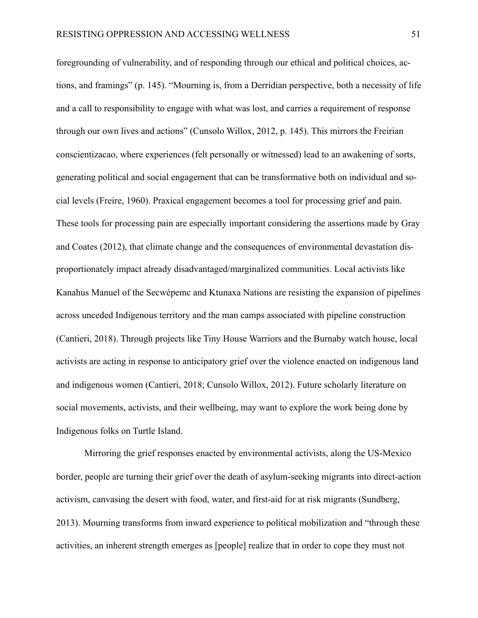foregrounding of vulnerability, and of responding through our ethical and political choices, actions, and framings" (p. 145). "Mourning is, from a Derridian perspective, both a necessity of life and a call to responsibility to engage with what was lost, and carries a requirement of response through our own lives and actions" (Cunsolo Willox, 2012, p. 145). This mirrors the Freirian conscientizacao, where experiences (felt personally or witnessed) lead to an awakening of sorts, generating political and social engagement that can be transformative both on individual and social levels (Freire, 1960). Praxical engagement becomes a tool for processing grief and pain. These tools for processing pain are especially important considering the assertions made by Gray and Coates (2012), that climate change and the consequences of environmental devastation disproportionately impact already disadvantaged/marginalized communities. Local activists like Kanahus Manuel of the Secwépemc and Ktunaxa Nations are resisting the expansion of pipelines across unceded Indigenous territory and the man camps associated with pipeline construction (Cantieri, 2018). Through projects like Tiny House Warriors and the Burnaby watch house, local activists are acting in response to anticipatory grief over the violence enacted on indigenous land and indigenous women (Cantieri, 2018; Cunsolo Willox, 2012). Future scholarly literature on social movements, activists, and their wellbeing, may want to explore the work being done by Indigenous folks on Turtle Island.

 Mirroring the grief responses enacted by environmental activists, along the US-Mexico border, people are turning their grief over the death of asylum-seeking migrants into direct-action activism, canvasing the desert with food, water, and first-aid for at risk migrants (Sundberg, 2013). Mourning transforms from inward experience to political mobilization and "through these activities, an inherent strength emerges as [people] realize that in order to cope they must not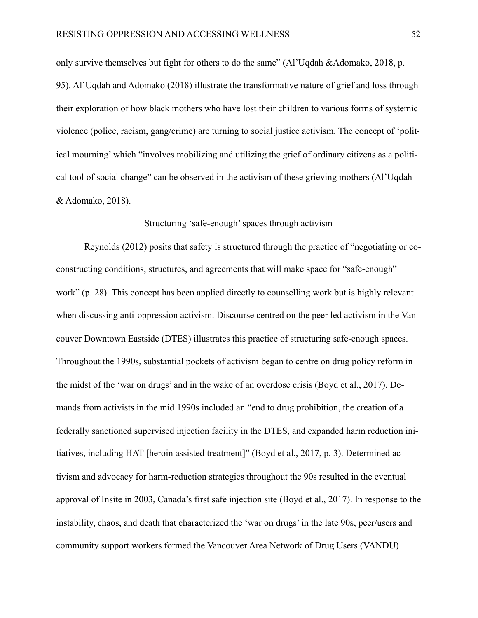only survive themselves but fight for others to do the same" (Al'Uqdah &Adomako, 2018, p. 95). Al'Uqdah and Adomako (2018) illustrate the transformative nature of grief and loss through their exploration of how black mothers who have lost their children to various forms of systemic violence (police, racism, gang/crime) are turning to social justice activism. The concept of 'political mourning' which "involves mobilizing and utilizing the grief of ordinary citizens as a political tool of social change" can be observed in the activism of these grieving mothers (Al'Uqdah & Adomako, 2018).

# Structuring 'safe-enough' spaces through activism

 Reynolds (2012) posits that safety is structured through the practice of "negotiating or coconstructing conditions, structures, and agreements that will make space for "safe-enough" work" (p. 28). This concept has been applied directly to counselling work but is highly relevant when discussing anti-oppression activism. Discourse centred on the peer led activism in the Vancouver Downtown Eastside (DTES) illustrates this practice of structuring safe-enough spaces. Throughout the 1990s, substantial pockets of activism began to centre on drug policy reform in the midst of the 'war on drugs' and in the wake of an overdose crisis (Boyd et al., 2017). Demands from activists in the mid 1990s included an "end to drug prohibition, the creation of a federally sanctioned supervised injection facility in the DTES, and expanded harm reduction initiatives, including HAT [heroin assisted treatment]" (Boyd et al., 2017, p. 3). Determined activism and advocacy for harm-reduction strategies throughout the 90s resulted in the eventual approval of Insite in 2003, Canada's first safe injection site (Boyd et al., 2017). In response to the instability, chaos, and death that characterized the 'war on drugs' in the late 90s, peer/users and community support workers formed the Vancouver Area Network of Drug Users (VANDU)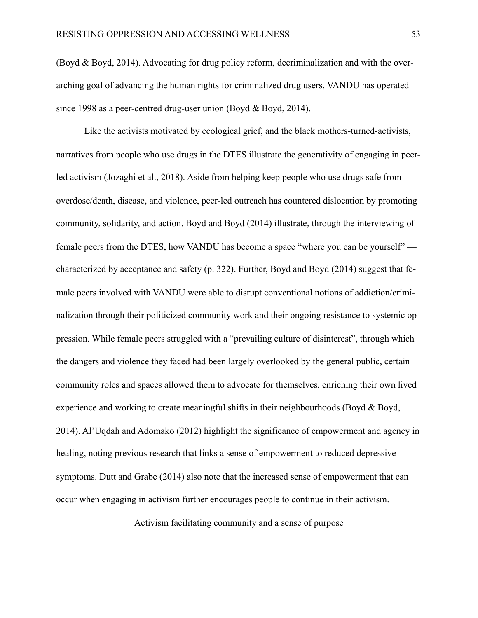(Boyd & Boyd, 2014). Advocating for drug policy reform, decriminalization and with the overarching goal of advancing the human rights for criminalized drug users, VANDU has operated since 1998 as a peer-centred drug-user union (Boyd & Boyd, 2014).

 Like the activists motivated by ecological grief, and the black mothers-turned-activists, narratives from people who use drugs in the DTES illustrate the generativity of engaging in peerled activism (Jozaghi et al., 2018). Aside from helping keep people who use drugs safe from overdose/death, disease, and violence, peer-led outreach has countered dislocation by promoting community, solidarity, and action. Boyd and Boyd (2014) illustrate, through the interviewing of female peers from the DTES, how VANDU has become a space "where you can be yourself" characterized by acceptance and safety (p. 322). Further, Boyd and Boyd (2014) suggest that female peers involved with VANDU were able to disrupt conventional notions of addiction/criminalization through their politicized community work and their ongoing resistance to systemic oppression. While female peers struggled with a "prevailing culture of disinterest", through which the dangers and violence they faced had been largely overlooked by the general public, certain community roles and spaces allowed them to advocate for themselves, enriching their own lived experience and working to create meaningful shifts in their neighbourhoods (Boyd & Boyd, 2014). Al'Uqdah and Adomako (2012) highlight the significance of empowerment and agency in healing, noting previous research that links a sense of empowerment to reduced depressive symptoms. Dutt and Grabe (2014) also note that the increased sense of empowerment that can occur when engaging in activism further encourages people to continue in their activism.

Activism facilitating community and a sense of purpose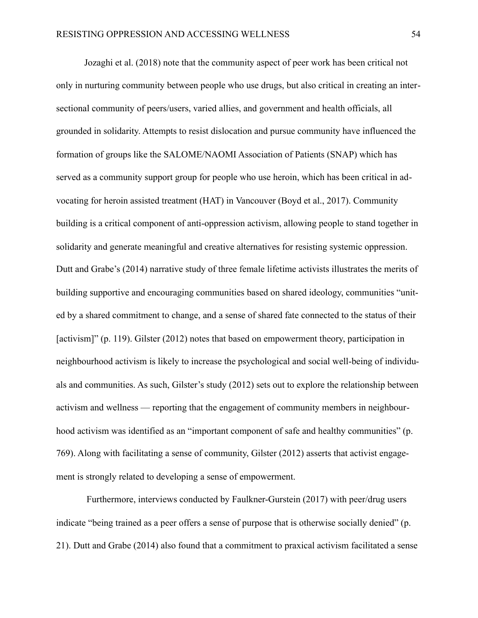Jozaghi et al. (2018) note that the community aspect of peer work has been critical not only in nurturing community between people who use drugs, but also critical in creating an intersectional community of peers/users, varied allies, and government and health officials, all grounded in solidarity. Attempts to resist dislocation and pursue community have influenced the formation of groups like the SALOME/NAOMI Association of Patients (SNAP) which has served as a community support group for people who use heroin, which has been critical in advocating for heroin assisted treatment (HAT) in Vancouver (Boyd et al., 2017). Community building is a critical component of anti-oppression activism, allowing people to stand together in solidarity and generate meaningful and creative alternatives for resisting systemic oppression. Dutt and Grabe's (2014) narrative study of three female lifetime activists illustrates the merits of building supportive and encouraging communities based on shared ideology, communities "united by a shared commitment to change, and a sense of shared fate connected to the status of their [activism]" (p. 119). Gilster (2012) notes that based on empowerment theory, participation in neighbourhood activism is likely to increase the psychological and social well-being of individuals and communities. As such, Gilster's study (2012) sets out to explore the relationship between activism and wellness — reporting that the engagement of community members in neighbourhood activism was identified as an "important component of safe and healthy communities" (p. 769). Along with facilitating a sense of community, Gilster (2012) asserts that activist engagement is strongly related to developing a sense of empowerment.

 Furthermore, interviews conducted by Faulkner-Gurstein (2017) with peer/drug users indicate "being trained as a peer offers a sense of purpose that is otherwise socially denied" (p. 21). Dutt and Grabe (2014) also found that a commitment to praxical activism facilitated a sense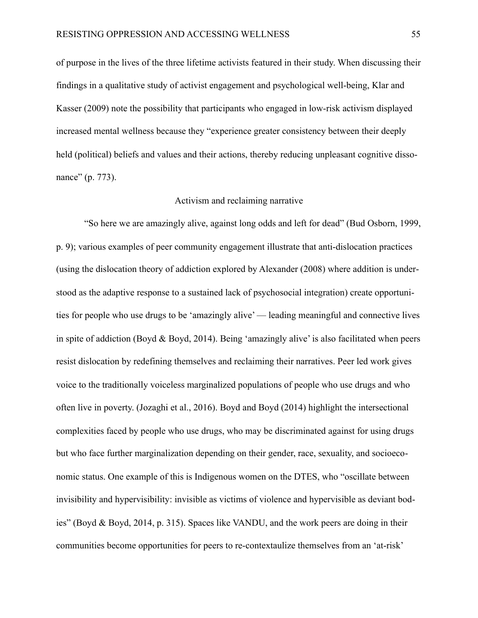of purpose in the lives of the three lifetime activists featured in their study. When discussing their findings in a qualitative study of activist engagement and psychological well-being, Klar and Kasser (2009) note the possibility that participants who engaged in low-risk activism displayed increased mental wellness because they "experience greater consistency between their deeply held (political) beliefs and values and their actions, thereby reducing unpleasant cognitive dissonance" (p. 773).

#### Activism and reclaiming narrative

 "So here we are amazingly alive, against long odds and left for dead" (Bud Osborn, 1999, p. 9); various examples of peer community engagement illustrate that anti-dislocation practices (using the dislocation theory of addiction explored by Alexander (2008) where addition is understood as the adaptive response to a sustained lack of psychosocial integration) create opportunities for people who use drugs to be 'amazingly alive' — leading meaningful and connective lives in spite of addiction (Boyd & Boyd, 2014). Being 'amazingly alive' is also facilitated when peers resist dislocation by redefining themselves and reclaiming their narratives. Peer led work gives voice to the traditionally voiceless marginalized populations of people who use drugs and who often live in poverty. (Jozaghi et al., 2016). Boyd and Boyd (2014) highlight the intersectional complexities faced by people who use drugs, who may be discriminated against for using drugs but who face further marginalization depending on their gender, race, sexuality, and socioeconomic status. One example of this is Indigenous women on the DTES, who "oscillate between invisibility and hypervisibility: invisible as victims of violence and hypervisible as deviant bodies" (Boyd & Boyd, 2014, p. 315). Spaces like VANDU, and the work peers are doing in their communities become opportunities for peers to re-contextaulize themselves from an 'at-risk'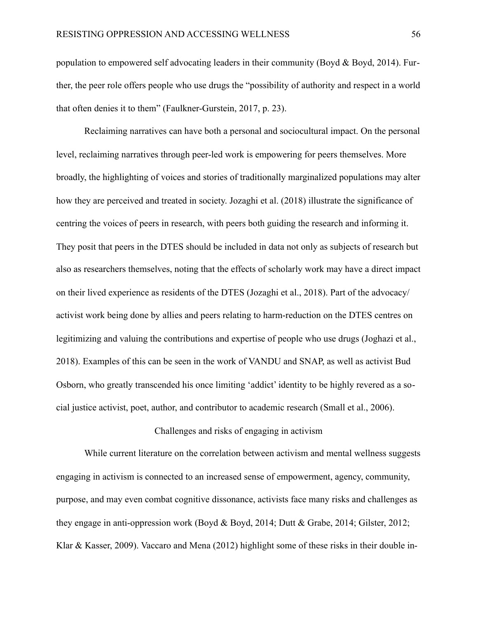population to empowered self advocating leaders in their community (Boyd & Boyd, 2014). Further, the peer role offers people who use drugs the "possibility of authority and respect in a world that often denies it to them" (Faulkner-Gurstein, 2017, p. 23).

 Reclaiming narratives can have both a personal and sociocultural impact. On the personal level, reclaiming narratives through peer-led work is empowering for peers themselves. More broadly, the highlighting of voices and stories of traditionally marginalized populations may alter how they are perceived and treated in society. Jozaghi et al. (2018) illustrate the significance of centring the voices of peers in research, with peers both guiding the research and informing it. They posit that peers in the DTES should be included in data not only as subjects of research but also as researchers themselves, noting that the effects of scholarly work may have a direct impact on their lived experience as residents of the DTES (Jozaghi et al., 2018). Part of the advocacy/ activist work being done by allies and peers relating to harm-reduction on the DTES centres on legitimizing and valuing the contributions and expertise of people who use drugs (Joghazi et al., 2018). Examples of this can be seen in the work of VANDU and SNAP, as well as activist Bud Osborn, who greatly transcended his once limiting 'addict' identity to be highly revered as a social justice activist, poet, author, and contributor to academic research (Small et al., 2006).

### Challenges and risks of engaging in activism

 While current literature on the correlation between activism and mental wellness suggests engaging in activism is connected to an increased sense of empowerment, agency, community, purpose, and may even combat cognitive dissonance, activists face many risks and challenges as they engage in anti-oppression work (Boyd & Boyd, 2014; Dutt & Grabe, 2014; Gilster, 2012; Klar & Kasser, 2009). Vaccaro and Mena (2012) highlight some of these risks in their double in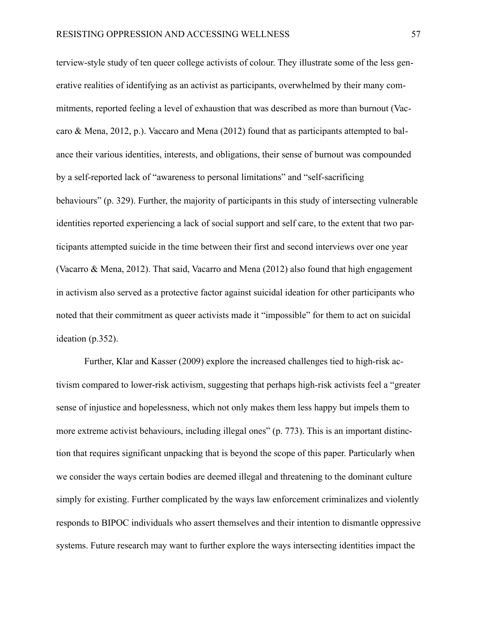terview-style study of ten queer college activists of colour. They illustrate some of the less generative realities of identifying as an activist as participants, overwhelmed by their many commitments, reported feeling a level of exhaustion that was described as more than burnout (Vaccaro & Mena, 2012, p.). Vaccaro and Mena (2012) found that as participants attempted to balance their various identities, interests, and obligations, their sense of burnout was compounded by a self-reported lack of "awareness to personal limitations" and "self-sacrificing behaviours" (p. 329). Further, the majority of participants in this study of intersecting vulnerable identities reported experiencing a lack of social support and self care, to the extent that two participants attempted suicide in the time between their first and second interviews over one year (Vacarro & Mena, 2012). That said, Vacarro and Mena (2012) also found that high engagement in activism also served as a protective factor against suicidal ideation for other participants who noted that their commitment as queer activists made it "impossible" for them to act on suicidal ideation (p.352).

 Further, Klar and Kasser (2009) explore the increased challenges tied to high-risk activism compared to lower-risk activism, suggesting that perhaps high-risk activists feel a "greater sense of injustice and hopelessness, which not only makes them less happy but impels them to more extreme activist behaviours, including illegal ones" (p. 773). This is an important distinction that requires significant unpacking that is beyond the scope of this paper. Particularly when we consider the ways certain bodies are deemed illegal and threatening to the dominant culture simply for existing. Further complicated by the ways law enforcement criminalizes and violently responds to BIPOC individuals who assert themselves and their intention to dismantle oppressive systems. Future research may want to further explore the ways intersecting identities impact the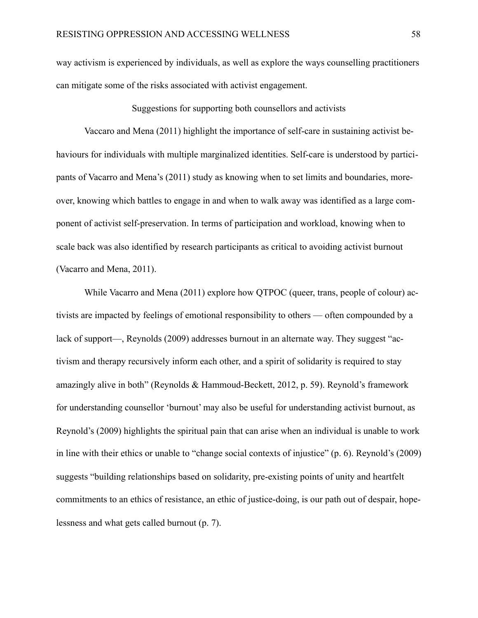way activism is experienced by individuals, as well as explore the ways counselling practitioners can mitigate some of the risks associated with activist engagement.

Suggestions for supporting both counsellors and activists

 Vaccaro and Mena (2011) highlight the importance of self-care in sustaining activist behaviours for individuals with multiple marginalized identities. Self-care is understood by participants of Vacarro and Mena's (2011) study as knowing when to set limits and boundaries, moreover, knowing which battles to engage in and when to walk away was identified as a large component of activist self-preservation. In terms of participation and workload, knowing when to scale back was also identified by research participants as critical to avoiding activist burnout (Vacarro and Mena, 2011).

 While Vacarro and Mena (2011) explore how QTPOC (queer, trans, people of colour) activists are impacted by feelings of emotional responsibility to others — often compounded by a lack of support—, Reynolds (2009) addresses burnout in an alternate way. They suggest "activism and therapy recursively inform each other, and a spirit of solidarity is required to stay amazingly alive in both" (Reynolds & Hammoud-Beckett, 2012, p. 59). Reynold's framework for understanding counsellor 'burnout' may also be useful for understanding activist burnout, as Reynold's (2009) highlights the spiritual pain that can arise when an individual is unable to work in line with their ethics or unable to "change social contexts of injustice" (p. 6). Reynold's (2009) suggests "building relationships based on solidarity, pre-existing points of unity and heartfelt commitments to an ethics of resistance, an ethic of justice-doing, is our path out of despair, hopelessness and what gets called burnout (p. 7).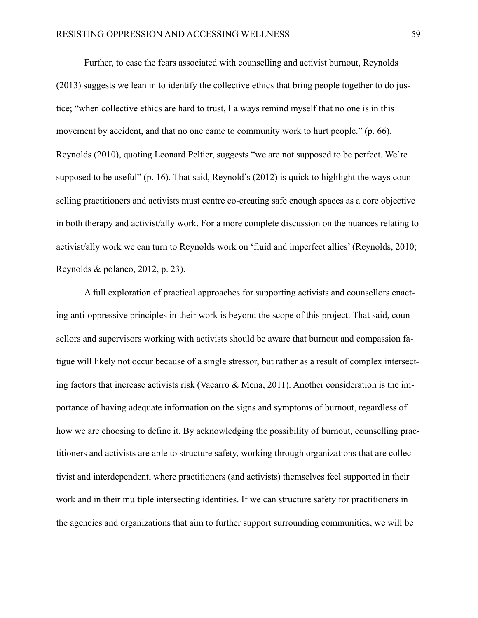Further, to ease the fears associated with counselling and activist burnout, Reynolds (2013) suggests we lean in to identify the collective ethics that bring people together to do justice; "when collective ethics are hard to trust, I always remind myself that no one is in this movement by accident, and that no one came to community work to hurt people." (p. 66). Reynolds (2010), quoting Leonard Peltier, suggests "we are not supposed to be perfect. We're supposed to be useful" (p. 16). That said, Reynold's (2012) is quick to highlight the ways counselling practitioners and activists must centre co-creating safe enough spaces as a core objective in both therapy and activist/ally work. For a more complete discussion on the nuances relating to activist/ally work we can turn to Reynolds work on 'fluid and imperfect allies' (Reynolds, 2010; Reynolds & polanco, 2012, p. 23).

 A full exploration of practical approaches for supporting activists and counsellors enacting anti-oppressive principles in their work is beyond the scope of this project. That said, counsellors and supervisors working with activists should be aware that burnout and compassion fatigue will likely not occur because of a single stressor, but rather as a result of complex intersecting factors that increase activists risk (Vacarro & Mena, 2011). Another consideration is the importance of having adequate information on the signs and symptoms of burnout, regardless of how we are choosing to define it. By acknowledging the possibility of burnout, counselling practitioners and activists are able to structure safety, working through organizations that are collectivist and interdependent, where practitioners (and activists) themselves feel supported in their work and in their multiple intersecting identities. If we can structure safety for practitioners in the agencies and organizations that aim to further support surrounding communities, we will be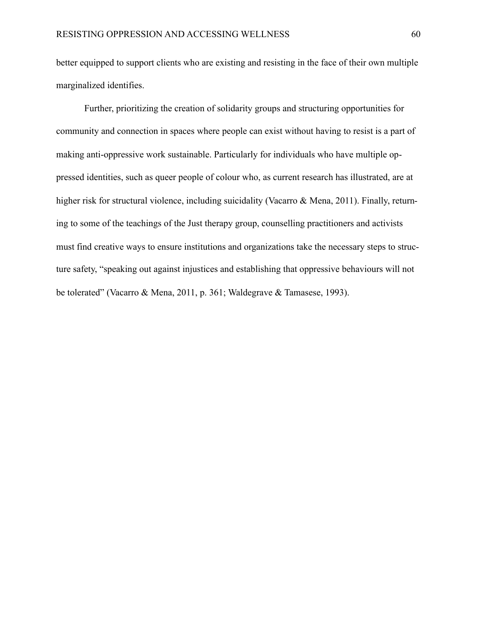better equipped to support clients who are existing and resisting in the face of their own multiple marginalized identifies.

 Further, prioritizing the creation of solidarity groups and structuring opportunities for community and connection in spaces where people can exist without having to resist is a part of making anti-oppressive work sustainable. Particularly for individuals who have multiple oppressed identities, such as queer people of colour who, as current research has illustrated, are at higher risk for structural violence, including suicidality (Vacarro & Mena, 2011). Finally, returning to some of the teachings of the Just therapy group, counselling practitioners and activists must find creative ways to ensure institutions and organizations take the necessary steps to structure safety, "speaking out against injustices and establishing that oppressive behaviours will not be tolerated" (Vacarro & Mena, 2011, p. 361; Waldegrave & Tamasese, 1993).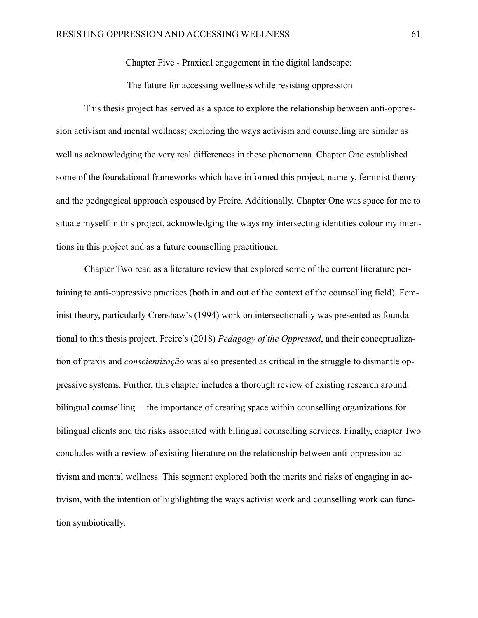Chapter Five - Praxical engagement in the digital landscape:

The future for accessing wellness while resisting oppression

 This thesis project has served as a space to explore the relationship between anti-oppression activism and mental wellness; exploring the ways activism and counselling are similar as well as acknowledging the very real differences in these phenomena. Chapter One established some of the foundational frameworks which have informed this project, namely, feminist theory and the pedagogical approach espoused by Freire. Additionally, Chapter One was space for me to situate myself in this project, acknowledging the ways my intersecting identities colour my intentions in this project and as a future counselling practitioner.

 Chapter Two read as a literature review that explored some of the current literature pertaining to anti-oppressive practices (both in and out of the context of the counselling field). Feminist theory, particularly Crenshaw's (1994) work on intersectionality was presented as foundational to this thesis project. Freire's (2018) *Pedagogy of the Oppressed*, and their conceptualization of praxis and *conscientização* was also presented as critical in the struggle to dismantle oppressive systems. Further, this chapter includes a thorough review of existing research around bilingual counselling —the importance of creating space within counselling organizations for bilingual clients and the risks associated with bilingual counselling services. Finally, chapter Two concludes with a review of existing literature on the relationship between anti-oppression activism and mental wellness. This segment explored both the merits and risks of engaging in activism, with the intention of highlighting the ways activist work and counselling work can function symbiotically.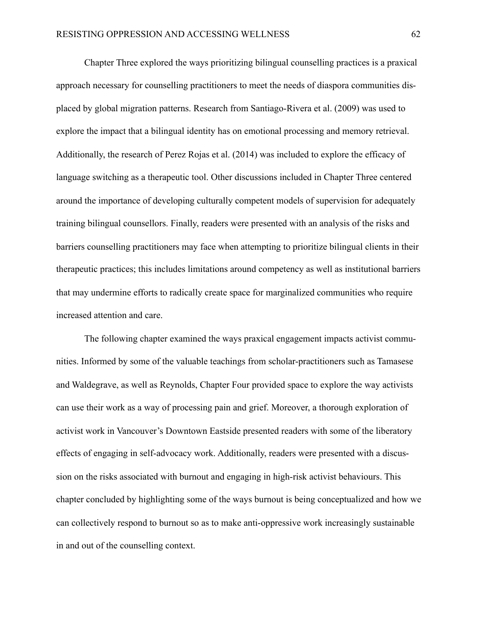Chapter Three explored the ways prioritizing bilingual counselling practices is a praxical approach necessary for counselling practitioners to meet the needs of diaspora communities displaced by global migration patterns. Research from Santiago-Rivera et al. (2009) was used to explore the impact that a bilingual identity has on emotional processing and memory retrieval. Additionally, the research of Perez Rojas et al. (2014) was included to explore the efficacy of language switching as a therapeutic tool. Other discussions included in Chapter Three centered around the importance of developing culturally competent models of supervision for adequately training bilingual counsellors. Finally, readers were presented with an analysis of the risks and barriers counselling practitioners may face when attempting to prioritize bilingual clients in their therapeutic practices; this includes limitations around competency as well as institutional barriers that may undermine efforts to radically create space for marginalized communities who require increased attention and care.

 The following chapter examined the ways praxical engagement impacts activist communities. Informed by some of the valuable teachings from scholar-practitioners such as Tamasese and Waldegrave, as well as Reynolds, Chapter Four provided space to explore the way activists can use their work as a way of processing pain and grief. Moreover, a thorough exploration of activist work in Vancouver's Downtown Eastside presented readers with some of the liberatory effects of engaging in self-advocacy work. Additionally, readers were presented with a discussion on the risks associated with burnout and engaging in high-risk activist behaviours. This chapter concluded by highlighting some of the ways burnout is being conceptualized and how we can collectively respond to burnout so as to make anti-oppressive work increasingly sustainable in and out of the counselling context.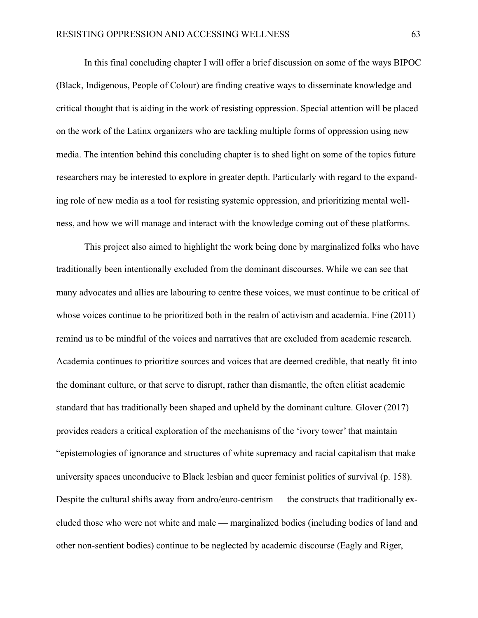In this final concluding chapter I will offer a brief discussion on some of the ways BIPOC (Black, Indigenous, People of Colour) are finding creative ways to disseminate knowledge and critical thought that is aiding in the work of resisting oppression. Special attention will be placed on the work of the Latinx organizers who are tackling multiple forms of oppression using new media. The intention behind this concluding chapter is to shed light on some of the topics future researchers may be interested to explore in greater depth. Particularly with regard to the expanding role of new media as a tool for resisting systemic oppression, and prioritizing mental wellness, and how we will manage and interact with the knowledge coming out of these platforms.

 This project also aimed to highlight the work being done by marginalized folks who have traditionally been intentionally excluded from the dominant discourses. While we can see that many advocates and allies are labouring to centre these voices, we must continue to be critical of whose voices continue to be prioritized both in the realm of activism and academia. Fine (2011) remind us to be mindful of the voices and narratives that are excluded from academic research. Academia continues to prioritize sources and voices that are deemed credible, that neatly fit into the dominant culture, or that serve to disrupt, rather than dismantle, the often elitist academic standard that has traditionally been shaped and upheld by the dominant culture. Glover (2017) provides readers a critical exploration of the mechanisms of the 'ivory tower' that maintain "epistemologies of ignorance and structures of white supremacy and racial capitalism that make university spaces unconducive to Black lesbian and queer feminist politics of survival (p. 158). Despite the cultural shifts away from andro/euro-centrism — the constructs that traditionally excluded those who were not white and male — marginalized bodies (including bodies of land and other non-sentient bodies) continue to be neglected by academic discourse (Eagly and Riger,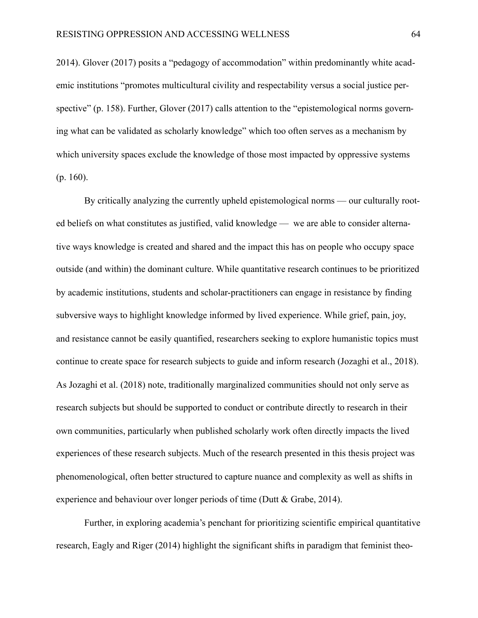2014). Glover (2017) posits a "pedagogy of accommodation" within predominantly white academic institutions "promotes multicultural civility and respectability versus a social justice perspective" (p. 158). Further, Glover (2017) calls attention to the "epistemological norms governing what can be validated as scholarly knowledge" which too often serves as a mechanism by which university spaces exclude the knowledge of those most impacted by oppressive systems (p. 160).

 By critically analyzing the currently upheld epistemological norms — our culturally rooted beliefs on what constitutes as justified, valid knowledge — we are able to consider alternative ways knowledge is created and shared and the impact this has on people who occupy space outside (and within) the dominant culture. While quantitative research continues to be prioritized by academic institutions, students and scholar-practitioners can engage in resistance by finding subversive ways to highlight knowledge informed by lived experience. While grief, pain, joy, and resistance cannot be easily quantified, researchers seeking to explore humanistic topics must continue to create space for research subjects to guide and inform research (Jozaghi et al., 2018). As Jozaghi et al. (2018) note, traditionally marginalized communities should not only serve as research subjects but should be supported to conduct or contribute directly to research in their own communities, particularly when published scholarly work often directly impacts the lived experiences of these research subjects. Much of the research presented in this thesis project was phenomenological, often better structured to capture nuance and complexity as well as shifts in experience and behaviour over longer periods of time (Dutt & Grabe, 2014).

Further, in exploring academia's penchant for prioritizing scientific empirical quantitative research, Eagly and Riger (2014) highlight the significant shifts in paradigm that feminist theo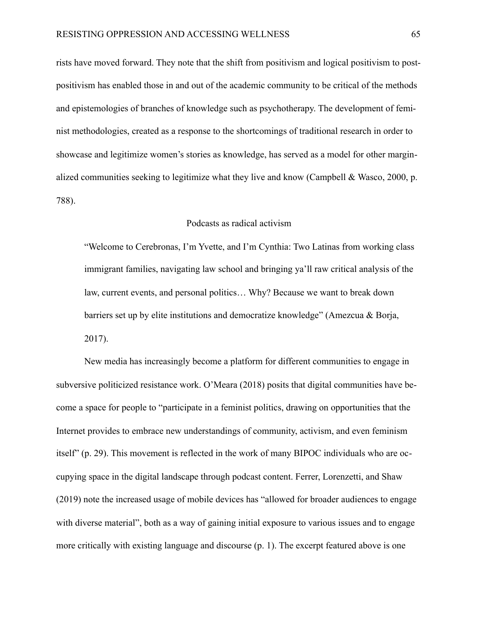rists have moved forward. They note that the shift from positivism and logical positivism to postpositivism has enabled those in and out of the academic community to be critical of the methods and epistemologies of branches of knowledge such as psychotherapy. The development of feminist methodologies, created as a response to the shortcomings of traditional research in order to showcase and legitimize women's stories as knowledge, has served as a model for other marginalized communities seeking to legitimize what they live and know (Campbell & Wasco, 2000, p. 788).

### Podcasts as radical activism

 "Welcome to Cerebronas, I'm Yvette, and I'm Cynthia: Two Latinas from working class immigrant families, navigating law school and bringing ya'll raw critical analysis of the law, current events, and personal politics… Why? Because we want to break down barriers set up by elite institutions and democratize knowledge" (Amezcua & Borja, 2017).

 New media has increasingly become a platform for different communities to engage in subversive politicized resistance work. O'Meara (2018) posits that digital communities have become a space for people to "participate in a feminist politics, drawing on opportunities that the Internet provides to embrace new understandings of community, activism, and even feminism itself" (p. 29). This movement is reflected in the work of many BIPOC individuals who are occupying space in the digital landscape through podcast content. Ferrer, Lorenzetti, and Shaw (2019) note the increased usage of mobile devices has "allowed for broader audiences to engage with diverse material", both as a way of gaining initial exposure to various issues and to engage more critically with existing language and discourse (p. 1). The excerpt featured above is one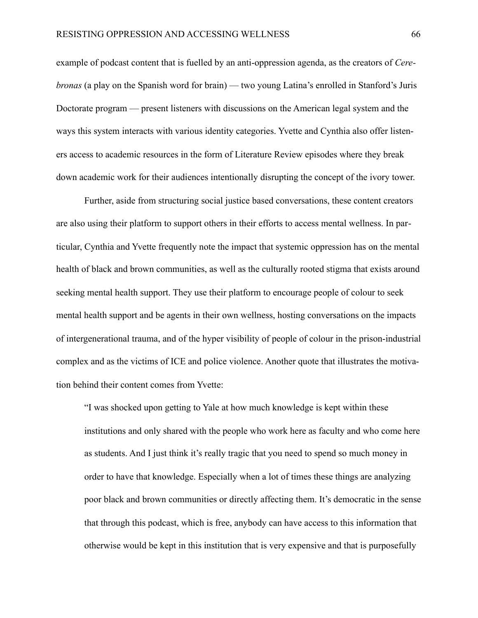example of podcast content that is fuelled by an anti-oppression agenda, as the creators of *Cerebronas* (a play on the Spanish word for brain) — two young Latina's enrolled in Stanford's Juris Doctorate program — present listeners with discussions on the American legal system and the ways this system interacts with various identity categories. Yvette and Cynthia also offer listeners access to academic resources in the form of Literature Review episodes where they break down academic work for their audiences intentionally disrupting the concept of the ivory tower.

 Further, aside from structuring social justice based conversations, these content creators are also using their platform to support others in their efforts to access mental wellness. In particular, Cynthia and Yvette frequently note the impact that systemic oppression has on the mental health of black and brown communities, as well as the culturally rooted stigma that exists around seeking mental health support. They use their platform to encourage people of colour to seek mental health support and be agents in their own wellness, hosting conversations on the impacts of intergenerational trauma, and of the hyper visibility of people of colour in the prison-industrial complex and as the victims of ICE and police violence. Another quote that illustrates the motivation behind their content comes from Yvette:

 "I was shocked upon getting to Yale at how much knowledge is kept within these institutions and only shared with the people who work here as faculty and who come here as students. And I just think it's really tragic that you need to spend so much money in order to have that knowledge. Especially when a lot of times these things are analyzing poor black and brown communities or directly affecting them. It's democratic in the sense that through this podcast, which is free, anybody can have access to this information that otherwise would be kept in this institution that is very expensive and that is purposefully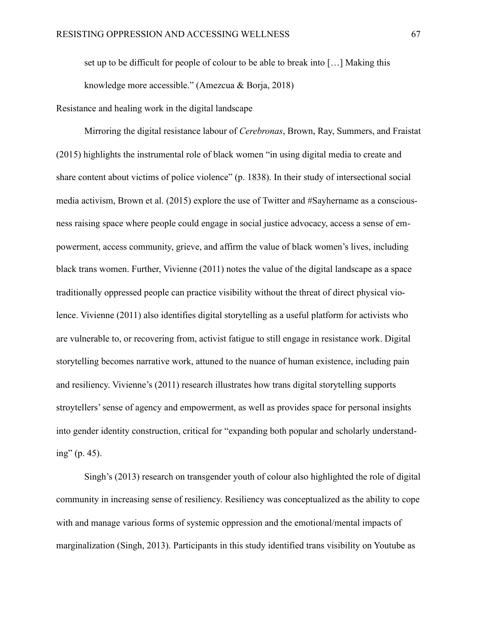set up to be difficult for people of colour to be able to break into […] Making this knowledge more accessible." (Amezcua & Borja, 2018)

Resistance and healing work in the digital landscape

 Mirroring the digital resistance labour of *Cerebronas*, Brown, Ray, Summers, and Fraistat (2015) highlights the instrumental role of black women "in using digital media to create and share content about victims of police violence" (p. 1838). In their study of intersectional social media activism, Brown et al. (2015) explore the use of Twitter and #Sayhername as a consciousness raising space where people could engage in social justice advocacy, access a sense of empowerment, access community, grieve, and affirm the value of black women's lives, including black trans women. Further, Vivienne (2011) notes the value of the digital landscape as a space traditionally oppressed people can practice visibility without the threat of direct physical violence. Vivienne (2011) also identifies digital storytelling as a useful platform for activists who are vulnerable to, or recovering from, activist fatigue to still engage in resistance work. Digital storytelling becomes narrative work, attuned to the nuance of human existence, including pain and resiliency. Vivienne's (2011) research illustrates how trans digital storytelling supports stroytellers' sense of agency and empowerment, as well as provides space for personal insights into gender identity construction, critical for "expanding both popular and scholarly understanding" (p. 45).

 Singh's (2013) research on transgender youth of colour also highlighted the role of digital community in increasing sense of resiliency. Resiliency was conceptualized as the ability to cope with and manage various forms of systemic oppression and the emotional/mental impacts of marginalization (Singh, 2013). Participants in this study identified trans visibility on Youtube as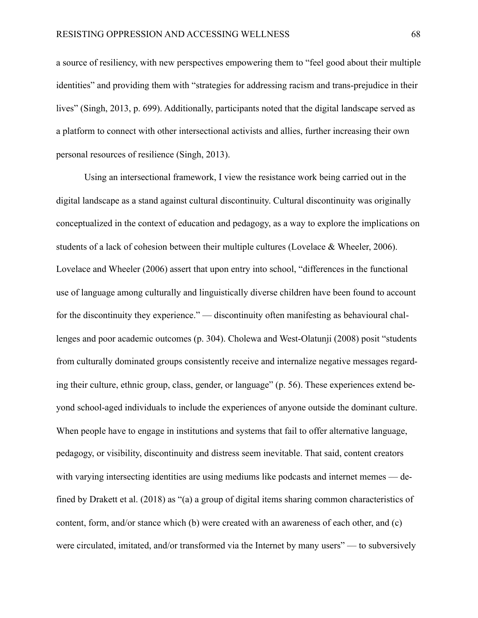a source of resiliency, with new perspectives empowering them to "feel good about their multiple identities" and providing them with "strategies for addressing racism and trans-prejudice in their lives" (Singh, 2013, p. 699). Additionally, participants noted that the digital landscape served as a platform to connect with other intersectional activists and allies, further increasing their own personal resources of resilience (Singh, 2013).

 Using an intersectional framework, I view the resistance work being carried out in the digital landscape as a stand against cultural discontinuity. Cultural discontinuity was originally conceptualized in the context of education and pedagogy, as a way to explore the implications on students of a lack of cohesion between their multiple cultures (Lovelace & Wheeler, 2006). Lovelace and Wheeler (2006) assert that upon entry into school, "differences in the functional use of language among culturally and linguistically diverse children have been found to account for the discontinuity they experience." — discontinuity often manifesting as behavioural challenges and poor academic outcomes (p. 304). Cholewa and West-Olatunji (2008) posit "students from culturally dominated groups consistently receive and internalize negative messages regarding their culture, ethnic group, class, gender, or language" (p. 56). These experiences extend beyond school-aged individuals to include the experiences of anyone outside the dominant culture. When people have to engage in institutions and systems that fail to offer alternative language, pedagogy, or visibility, discontinuity and distress seem inevitable. That said, content creators with varying intersecting identities are using mediums like podcasts and internet memes — defined by Drakett et al. (2018) as "(a) a group of digital items sharing common characteristics of content, form, and/or stance which (b) were created with an awareness of each other, and (c) were circulated, imitated, and/or transformed via the Internet by many users" — to subversively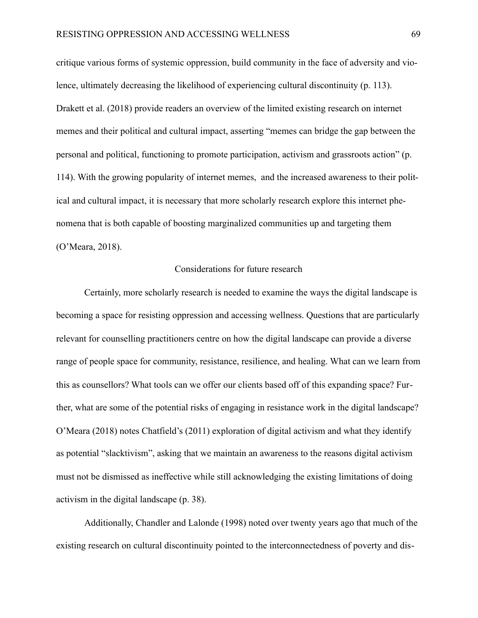critique various forms of systemic oppression, build community in the face of adversity and violence, ultimately decreasing the likelihood of experiencing cultural discontinuity (p. 113). Drakett et al. (2018) provide readers an overview of the limited existing research on internet memes and their political and cultural impact, asserting "memes can bridge the gap between the personal and political, functioning to promote participation, activism and grassroots action" (p. 114). With the growing popularity of internet memes, and the increased awareness to their political and cultural impact, it is necessary that more scholarly research explore this internet phenomena that is both capable of boosting marginalized communities up and targeting them (O'Meara, 2018).

# Considerations for future research

 Certainly, more scholarly research is needed to examine the ways the digital landscape is becoming a space for resisting oppression and accessing wellness. Questions that are particularly relevant for counselling practitioners centre on how the digital landscape can provide a diverse range of people space for community, resistance, resilience, and healing. What can we learn from this as counsellors? What tools can we offer our clients based off of this expanding space? Further, what are some of the potential risks of engaging in resistance work in the digital landscape? O'Meara (2018) notes Chatfield's (2011) exploration of digital activism and what they identify as potential "slacktivism", asking that we maintain an awareness to the reasons digital activism must not be dismissed as ineffective while still acknowledging the existing limitations of doing activism in the digital landscape (p. 38).

 Additionally, Chandler and Lalonde (1998) noted over twenty years ago that much of the existing research on cultural discontinuity pointed to the interconnectedness of poverty and dis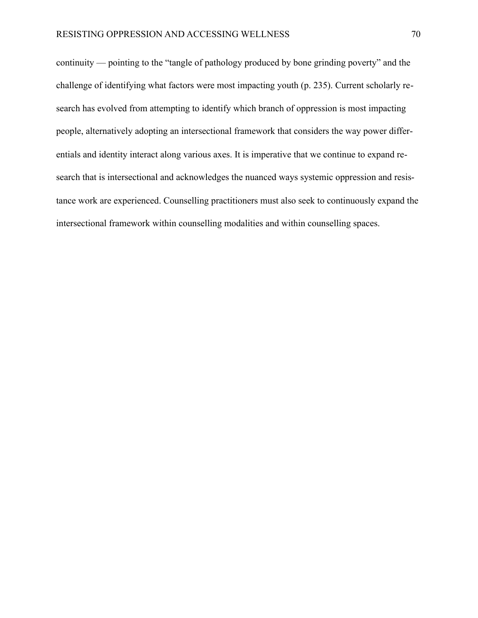continuity — pointing to the "tangle of pathology produced by bone grinding poverty" and the challenge of identifying what factors were most impacting youth (p. 235). Current scholarly research has evolved from attempting to identify which branch of oppression is most impacting people, alternatively adopting an intersectional framework that considers the way power differentials and identity interact along various axes. It is imperative that we continue to expand research that is intersectional and acknowledges the nuanced ways systemic oppression and resistance work are experienced. Counselling practitioners must also seek to continuously expand the intersectional framework within counselling modalities and within counselling spaces.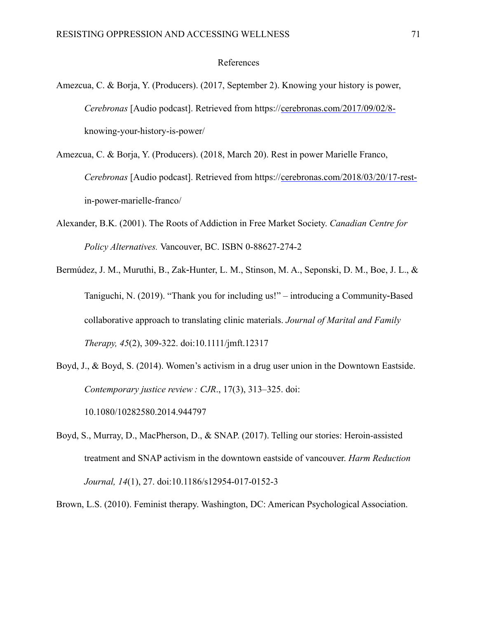#### References

- Amezcua, C. & Borja, Y. (Producers). (2017, September 2). Knowing your history is power, *Cerebronas* [Audio podcast]. Retrieved from https:// [cerebronas.com/2017/09/02/8](http://cerebronas.com/2017/09/02/8-) knowing-your-history-is-power/
- Amezcua, C. & Borja, Y. (Producers). (2018, March 20). Rest in power Marielle Franco, *Cerebronas* [Audio podcast]. Retrieved from https:// [cerebronas.com/2018/03/20/17-rest](http://cerebronas.com/2018/03/20/17-rest-) in-power-marielle-franco/
- Alexander, B.K. (2001). The Roots of Addiction in Free Market Society. *Canadian Centre for Policy Alternatives.* Vancouver, BC. ISBN 0-88627-274-2
- Bermúdez, J. M., Muruthi, B., Zak‐Hunter, L. M., Stinson, M. A., Seponski, D. M., Boe, J. L., & Taniguchi, N. (2019). "Thank you for including us!" – introducing a Community‐Based collaborative approach to translating clinic materials. *Journal of Marital and Family Therapy, 45*(2), 309-322. doi:10.1111/jmft.12317
- Boyd, J., & Boyd, S. (2014). Women's activism in a drug user union in the Downtown Eastside. *Contemporary justice review : CJR*., 17(3), 313–325. doi: 10.1080/10282580.2014.944797
- Boyd, S., Murray, D., MacPherson, D., & SNAP. (2017). Telling our stories: Heroin-assisted treatment and SNAP activism in the downtown eastside of vancouver. *Harm Reduction Journal, 14*(1), 27. doi:10.1186/s12954-017-0152-3

Brown, L.S. (2010). Feminist therapy. Washington, DC: American Psychological Association.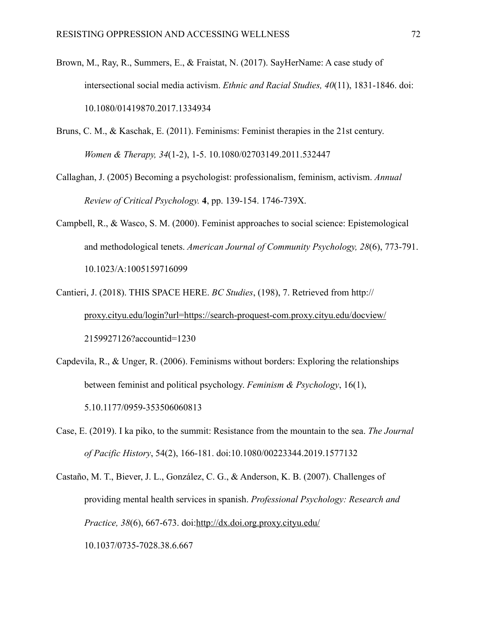- Brown, M., Ray, R., Summers, E., & Fraistat, N. (2017). SayHerName: A case study of intersectional social media activism. *Ethnic and Racial Studies, 40*(11), 1831-1846. doi: 10.1080/01419870.2017.1334934
- Bruns, C. M., & Kaschak, E. (2011). Feminisms: Feminist therapies in the 21st century. *Women & Therapy, 34*(1-2), 1-5. 10.1080/02703149.2011.532447
- Callaghan, J. (2005) Becoming a psychologist: professionalism, feminism, activism. *Annual Review of Critical Psychology.* **4**, pp. 139-154. 1746-739X.
- Campbell, R., & Wasco, S. M. (2000). Feminist approaches to social science: Epistemological and methodological tenets. *American Journal of Community Psychology, 28*(6), 773-791. 10.1023/A:1005159716099
- Cantieri, J. (2018). THIS SPACE HERE. *BC Studies*, (198), 7. Retrieved from http:// [proxy.cityu.edu/login?url=https://search-proquest-com.proxy.cityu.edu/docview/](http://proxy.cityu.edu/login?url=https://search-proquest-com.proxy.cityu.edu/docview/)  2159927126?accountid=1230
- Capdevila, R., & Unger, R. (2006). Feminisms without borders: Exploring the relationships between feminist and political psychology. *Feminism & Psychology*, 16(1), 5.10.1177/0959-353506060813
- Case, E. (2019). I ka piko, to the summit: Resistance from the mountain to the sea. *The Journal of Pacific History*, 54(2), 166-181. doi:10.1080/00223344.2019.1577132

Castaño, M. T., Biever, J. L., González, C. G., & Anderson, K. B. (2007). Challenges of providing mental health services in spanish. *Professional Psychology: Research and Practice, 38*(6), 667-673. doi[:http://dx.doi.org.proxy.cityu.edu/](http://dx.doi.org.proxy.cityu.edu/)  10.1037/0735-7028.38.6.667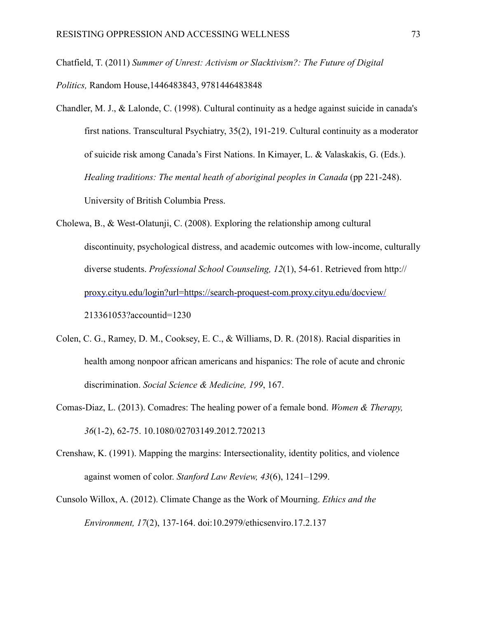Chatfield, T. (2011) *Summer of Unrest: Activism or Slacktivism?: The Future of Digital* 

*Politics,* Random House,1446483843, 9781446483848

- Chandler, M. J., & Lalonde, C. (1998). Cultural continuity as a hedge against suicide in canada's first nations. Transcultural Psychiatry, 35(2), 191-219. Cultural continuity as a moderator of suicide risk among Canada's First Nations. In Kimayer, L. & Valaskakis, G. (Eds.). *Healing traditions: The mental heath of aboriginal peoples in Canada (pp 221-248).* University of British Columbia Press.
- Cholewa, B., & West-Olatunji, C. (2008). Exploring the relationship among cultural discontinuity, psychological distress, and academic outcomes with low-income, culturally diverse students. *Professional School Counseling, 12*(1), 54-61. Retrieved from http:// [proxy.cityu.edu/login?url=https://search-proquest-com.proxy.cityu.edu/docview/](http://proxy.cityu.edu/login?url=https://search-proquest-com.proxy.cityu.edu/docview/)  213361053?accountid=1230
- Colen, C. G., Ramey, D. M., Cooksey, E. C., & Williams, D. R. (2018). Racial disparities in health among nonpoor african americans and hispanics: The role of acute and chronic discrimination. *Social Science & Medicine, 199*, 167.
- Comas-Diaz, L. (2013). Comadres: The healing power of a female bond. *Women & Therapy, 36*(1-2), 62-75. 10.1080/02703149.2012.720213
- Crenshaw, K. (1991). Mapping the margins: Intersectionality, identity politics, and violence against women of color. *Stanford Law Review, 43*(6), 1241–1299.
- Cunsolo Willox, A. (2012). Climate Change as the Work of Mourning. *Ethics and the Environment, 17*(2), 137-164. doi:10.2979/ethicsenviro.17.2.137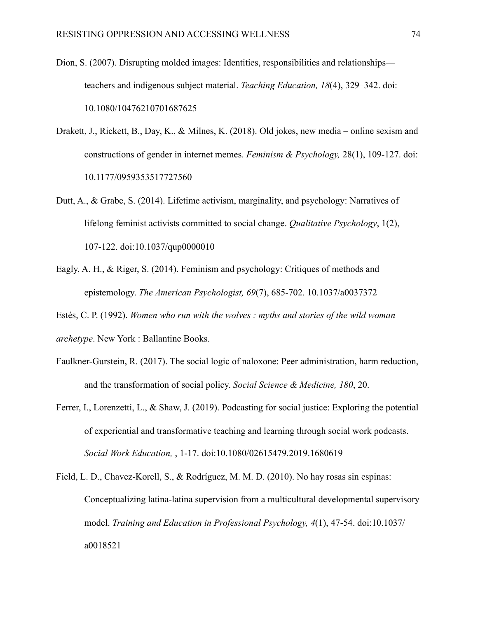- Dion, S. (2007). Disrupting molded images: Identities, responsibilities and relationships teachers and indigenous subject material. *Teaching Education, 18*(4), 329–342. doi: 10.1080/10476210701687625
- Drakett, J., Rickett, B., Day, K., & Milnes, K. (2018). Old jokes, new media online sexism and constructions of gender in internet memes. *Feminism & Psychology,* 28(1), 109-127. doi: 10.1177/0959353517727560
- Dutt, A., & Grabe, S. (2014). Lifetime activism, marginality, and psychology: Narratives of lifelong feminist activists committed to social change. *Qualitative Psychology*, 1(2), 107-122. doi:10.1037/qup0000010
- Eagly, A. H., & Riger, S. (2014). Feminism and psychology: Critiques of methods and epistemology. *The American Psychologist, 69*(7), 685-702. 10.1037/a0037372
- Estés, C. P. (1992). *Women who run with the wolves : myths and stories of the wild woman archetype*. New York : Ballantine Books.
- Faulkner-Gurstein, R. (2017). The social logic of naloxone: Peer administration, harm reduction, and the transformation of social policy. *Social Science & Medicine, 180*, 20.
- Ferrer, I., Lorenzetti, L., & Shaw, J. (2019). Podcasting for social justice: Exploring the potential of experiential and transformative teaching and learning through social work podcasts. *Social Work Education,* , 1-17. doi:10.1080/02615479.2019.1680619
- Field, L. D., Chavez-Korell, S., & Rodríguez, M. M. D. (2010). No hay rosas sin espinas: Conceptualizing latina-latina supervision from a multicultural developmental supervisory model. *Training and Education in Professional Psychology, 4*(1), 47-54. doi:10.1037/ a0018521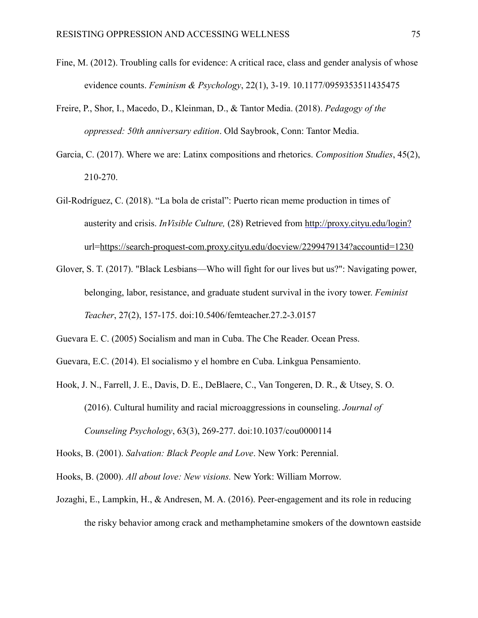- Fine, M. (2012). Troubling calls for evidence: A critical race, class and gender analysis of whose evidence counts. *Feminism & Psychology*, 22(1), 3-19. 10.1177/0959353511435475
- Freire, P., Shor, I., Macedo, D., Kleinman, D., & Tantor Media. (2018). *Pedagogy of the oppressed: 50th anniversary edition*. Old Saybrook, Conn: Tantor Media.
- Garcia, C. (2017). Where we are: Latinx compositions and rhetorics. *Composition Studies*, 45(2), 210-270.
- Gil-Rodríguez, C. (2018). "La bola de cristal": Puerto rican meme production in times of austerity and crisis. *InVisible Culture,* (28) Retrieved from <http://proxy.cityu.edu/login?> url[=https://search-proquest-com.proxy.cityu.edu/docview/2299479134?accountid=1230](https://search-proquest-com.proxy.cityu.edu/docview/2299479134?accountid=1230)
- Glover, S. T. (2017). "Black Lesbians—Who will fight for our lives but us?": Navigating power, belonging, labor, resistance, and graduate student survival in the ivory tower. *Feminist Teacher*, 27(2), 157-175. doi:10.5406/femteacher.27.2-3.0157
- Guevara E. C. (2005) Socialism and man in Cuba. The Che Reader. Ocean Press.
- Guevara, E.C. (2014). El socialismo y el hombre en Cuba. Linkgua Pensamiento.
- Hook, J. N., Farrell, J. E., Davis, D. E., DeBlaere, C., Van Tongeren, D. R., & Utsey, S. O. (2016). Cultural humility and racial microaggressions in counseling. *Journal of Counseling Psychology*, 63(3), 269-277. doi:10.1037/cou0000114

Hooks, B. (2001). *Salvation: Black People and Love*. New York: Perennial.

- Hooks, B. (2000). *All about love: New visions.* New York: William Morrow.
- Jozaghi, E., Lampkin, H., & Andresen, M. A. (2016). Peer-engagement and its role in reducing the risky behavior among crack and methamphetamine smokers of the downtown eastside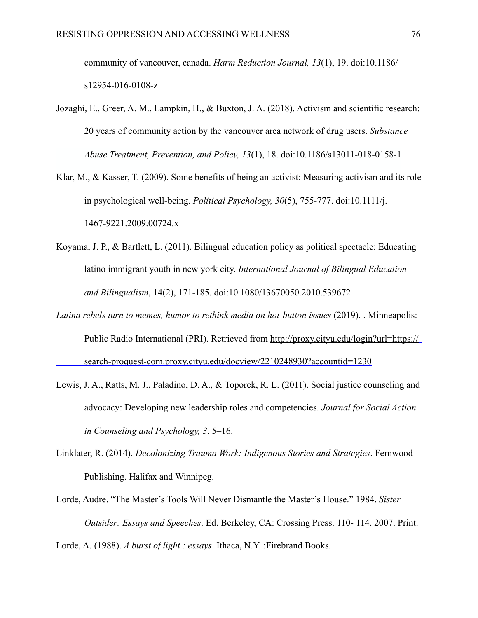community of vancouver, canada. *Harm Reduction Journal, 13*(1), 19. doi:10.1186/ s12954-016-0108-z

- Jozaghi, E., Greer, A. M., Lampkin, H., & Buxton, J. A. (2018). Activism and scientific research: 20 years of community action by the vancouver area network of drug users. *Substance Abuse Treatment, Prevention, and Policy, 13*(1), 18. doi:10.1186/s13011-018-0158-1
- Klar, M., & Kasser, T. (2009). Some benefits of being an activist: Measuring activism and its role in psychological well-being. *Political Psychology, 30*(5), 755-777. doi:10.1111/j. 1467-9221.2009.00724.x
- Koyama, J. P., & Bartlett, L. (2011). Bilingual education policy as political spectacle: Educating latino immigrant youth in new york city. *International Journal of Bilingual Education and Bilingualism*, 14(2), 171-185. doi:10.1080/13670050.2010.539672
- *Latina rebels turn to memes, humor to rethink media on hot-button issues* (2019). . Minneapolis: Public Radio International (PRI). Retrieved from<http://proxy.cityu.edu/login?url=https://> search-proquest-com.proxy.cityu.edu/docview/2210248930?accountid=1230
- Lewis, J. A., Ratts, M. J., Paladino, D. A., & Toporek, R. L. (2011). Social justice counseling and advocacy: Developing new leadership roles and competencies. *Journal for Social Action in Counseling and Psychology, 3*, 5–16.
- Linklater, R. (2014). *Decolonizing Trauma Work: Indigenous Stories and Strategies*. Fernwood Publishing. Halifax and Winnipeg.
- Lorde, Audre. "The Master's Tools Will Never Dismantle the Master's House." 1984. *Sister Outsider: Essays and Speeches*. Ed. Berkeley, CA: Crossing Press. 110- 114. 2007. Print.

Lorde, A. (1988). *A burst of light : essays*. Ithaca, N.Y. :Firebrand Books.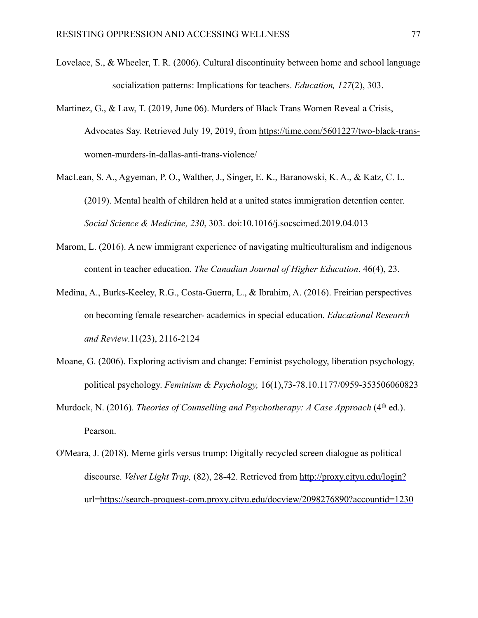- Lovelace, S., & Wheeler, T. R. (2006). Cultural discontinuity between home and school language socialization patterns: Implications for teachers. *Education, 127*(2), 303.
- Martinez, G., & Law, T. (2019, June 06). Murders of Black Trans Women Reveal a Crisis, Advocates Say. Retrieved July 19, 2019, from [https://time.com/5601227/two-black-trans](https://time.com/5601227/two-black-trans-) women-murders-in-dallas-anti-trans-violence/
- MacLean, S. A., Agyeman, P. O., Walther, J., Singer, E. K., Baranowski, K. A., & Katz, C. L. (2019). Mental health of children held at a united states immigration detention center. *Social Science & Medicine, 230*, 303. doi:10.1016/j.socscimed.2019.04.013
- Marom, L. (2016). A new immigrant experience of navigating multiculturalism and indigenous content in teacher education. *The Canadian Journal of Higher Education*, 46(4), 23.
- Medina, A., Burks-Keeley, R.G., Costa-Guerra, L., & Ibrahim, A. (2016). Freirian perspectives on becoming female researcher- academics in special education. *Educational Research and Review*.11(23), 2116-2124
- Moane, G. (2006). Exploring activism and change: Feminist psychology, liberation psychology, political psychology. *Feminism & Psychology,* 16(1),73-78.10.1177/0959-353506060823
- Murdock, N. (2016). *Theories of Counselling and Psychotherapy: A Case Approach* (4<sup>th</sup> ed.). Pearson.
- O'Meara, J. (2018). Meme girls versus trump: Digitally recycled screen dialogue as political discourse. *Velvet Light Trap,* (82), 28-42. Retrieved from <http://proxy.cityu.edu/login?> url[=https://search-proquest-com.proxy.cityu.edu/docview/2098276890?accountid=1230](https://search-proquest-com.proxy.cityu.edu/docview/2098276890?accountid=1230)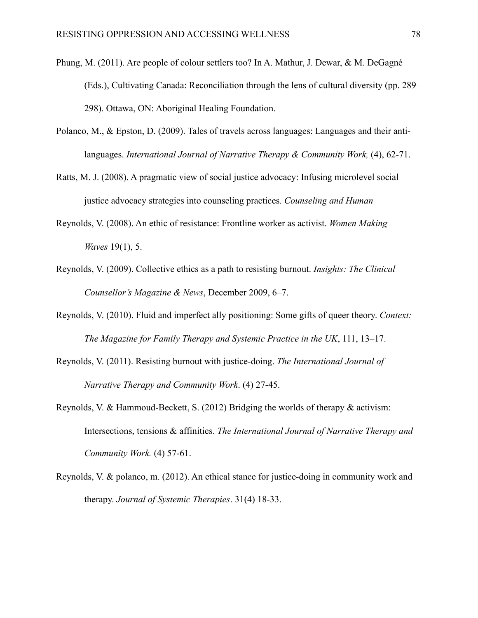- Phung, M. (2011). Are people of colour settlers too? In A. Mathur, J. Dewar, & M. DeGagné (Eds.), Cultivating Canada: Reconciliation through the lens of cultural diversity (pp. 289– 298). Ottawa, ON: Aboriginal Healing Foundation.
- Polanco, M., & Epston, D. (2009). Tales of travels across languages: Languages and their anti languages. *International Journal of Narrative Therapy & Community Work*, (4), 62-71.
- Ratts, M. J. (2008). A pragmatic view of social justice advocacy: Infusing microlevel social justice advocacy strategies into counseling practices. *Counseling and Human*
- Reynolds, V. (2008). [An ethic of resistance: Frontline worker as activist.](https://vikkireynoldsdotca.files.wordpress.com/2017/12/vreynoldsworkerasactivistanethicofresistancebwss2008.pdf) *Women Making Waves* 19(1), 5.
- Reynolds, V. (2009). Collective ethics as a path to resisting burnout. *Insights: The Clinical Counsellor's Magazine & News*, December 2009, 6–7.
- Reynolds, V. (2010). Fluid and imperfect ally positioning: Some gifts of queer theory. *Context: The Magazine for Family Therapy and Systemic Practice in the UK*, 111, 13–17.
- Reynolds, V. (2011). [Resisting burnout with justice-doing.](https://vikkireynoldsdotca.files.wordpress.com/2017/12/reynolds2011resistingburnoutwithjustice-doingdulwich.pdf) *The International Journal of Narrative Therapy and Community Work*. (4) 27-45.
- Reynolds, V. & Hammoud-Beckett, S. (2012) Bridging the worlds of therapy & activism: Intersections, tensions & affinities. *The International Journal of Narrative Therapy and Community Work.* (4) 57-61.
- Reynolds, V. & polanco, m. (2012). An ethical stance for justice-doing in community work and therapy. *[Journal of Systemic Therapies](http://guilfordjournals.com/loi/jsyt)*. 31(4) 18-33.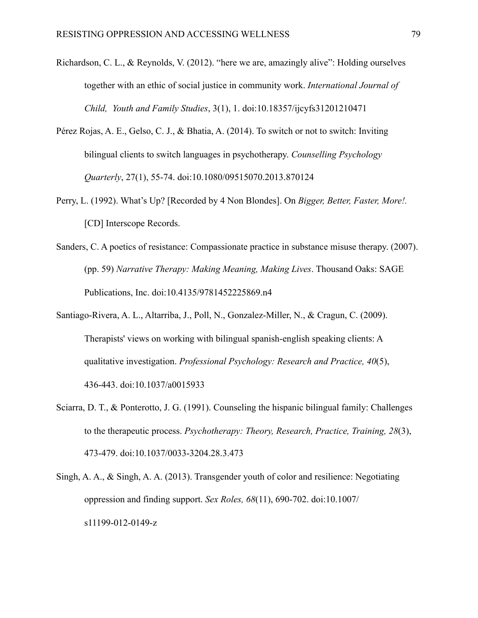- Richardson, C. L., & Reynolds, V. (2012). "here we are, amazingly alive": Holding ourselves together with an ethic of social justice in community work. *International Journal of Child, Youth and Family Studies*, 3(1), 1. doi:10.18357/ijcyfs31201210471
- Pérez Rojas, A. E., Gelso, C. J., & Bhatia, A. (2014). To switch or not to switch: Inviting bilingual clients to switch languages in psychotherapy. *Counselling Psychology Quarterly*, 27(1), 55-74. doi:10.1080/09515070.2013.870124
- Perry, L. (1992). What's Up? [Recorded by 4 Non Blondes]. On *Bigger, Better, Faster, More!.*  [CD] Interscope Records.
- Sanders, C. A poetics of resistance: Compassionate practice in substance misuse therapy. (2007). (pp. 59) *Narrative Therapy: Making Meaning, Making Lives*. Thousand Oaks: SAGE Publications, Inc. doi:10.4135/9781452225869.n4
- Santiago-Rivera, A. L., Altarriba, J., Poll, N., Gonzalez-Miller, N., & Cragun, C. (2009). Therapists' views on working with bilingual spanish-english speaking clients: A qualitative investigation. *Professional Psychology: Research and Practice, 40*(5), 436-443. doi:10.1037/a0015933
- Sciarra, D. T., & Ponterotto, J. G. (1991). Counseling the hispanic bilingual family: Challenges to the therapeutic process. *Psychotherapy: Theory, Research, Practice, Training, 28*(3), 473-479. doi:10.1037/0033-3204.28.3.473
- Singh, A. A., & Singh, A. A. (2013). Transgender youth of color and resilience: Negotiating oppression and finding support. *Sex Roles, 68*(11), 690-702. doi:10.1007/ s11199-012-0149-z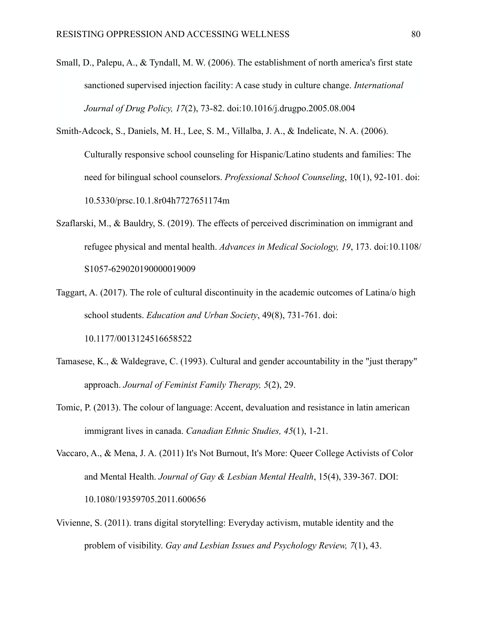- Small, D., Palepu, A., & Tyndall, M. W. (2006). The establishment of north america's first state sanctioned supervised injection facility: A case study in culture change. *International Journal of Drug Policy, 17*(2), 73-82. doi:10.1016/j.drugpo.2005.08.004
- Smith-Adcock, S., Daniels, M. H., Lee, S. M., Villalba, J. A., & Indelicate, N. A. (2006). Culturally responsive school counseling for Hispanic/Latino students and families: The need for bilingual school counselors. *Professional School Counseling*, 10(1), 92-101. doi: 10.5330/prsc.10.1.8r04h7727651174m
- Szaflarski, M., & Bauldry, S. (2019). The effects of perceived discrimination on immigrant and refugee physical and mental health. *Advances in Medical Sociology, 19*, 173. doi:10.1108/ S1057-629020190000019009
- Taggart, A. (2017). The role of cultural discontinuity in the academic outcomes of Latina/o high school students. *Education and Urban Society*, 49(8), 731-761. doi:

10.1177/0013124516658522

- Tamasese, K., & Waldegrave, C. (1993). Cultural and gender accountability in the "just therapy" approach. *Journal of Feminist Family Therapy, 5*(2), 29.
- Tomic, P. (2013). The colour of language: Accent, devaluation and resistance in latin american immigrant lives in canada. *Canadian Ethnic Studies, 45*(1), 1-21.

Vaccaro, A., & Mena, J. A. (2011) It's Not Burnout, It's More: Queer College Activists of Color and Mental Health. *Journal of Gay & Lesbian Mental Health*, 15(4), 339-367. DOI: 10.1080/19359705.2011.600656

Vivienne, S. (2011). trans digital storytelling: Everyday activism, mutable identity and the problem of visibility. *Gay and Lesbian Issues and Psychology Review, 7*(1), 43.